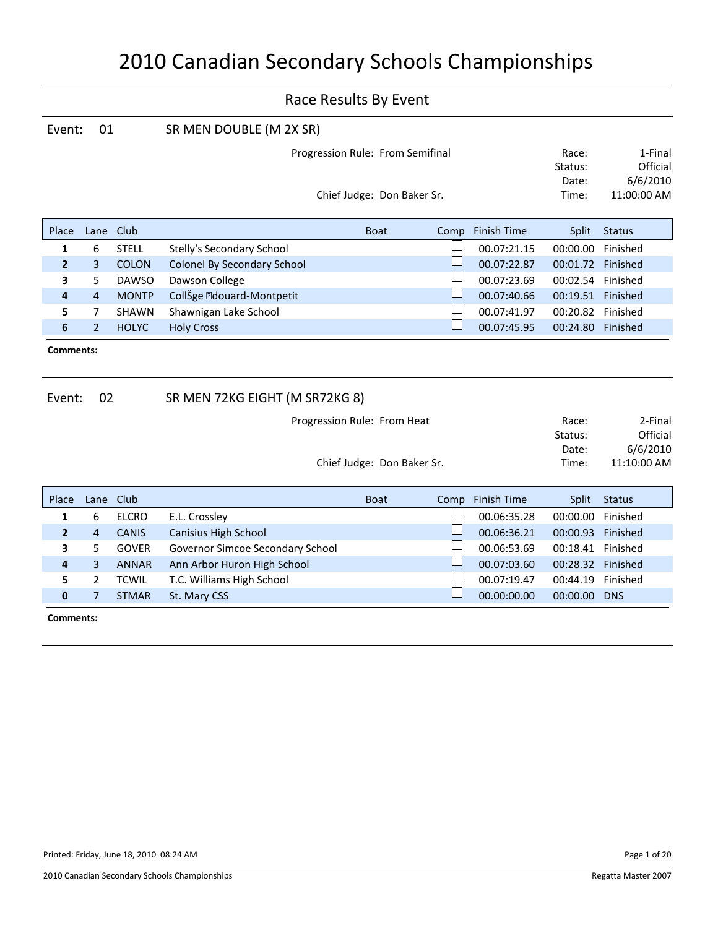| Event:                                         | 01             |              | SR MEN DOUBLE (M 2X SR)            |                                  |        |                    |                           |                                 |
|------------------------------------------------|----------------|--------------|------------------------------------|----------------------------------|--------|--------------------|---------------------------|---------------------------------|
|                                                |                |              |                                    | Progression Rule: From Semifinal |        |                    | Race:<br>Status:<br>Date: | 1-Final<br>Official<br>6/6/2010 |
|                                                |                |              |                                    | Chief Judge: Don Baker Sr.       |        |                    | Time:                     | 11:00:00 AM                     |
| Place                                          | Lane Club      |              |                                    | <b>Boat</b>                      | Comp   | <b>Finish Time</b> | Split                     | <b>Status</b>                   |
| 1                                              | 6              | <b>STELL</b> | Stelly's Secondary School          |                                  |        | 00.07:21.15        | 00:00.00                  | Finished                        |
| $\overline{2}$                                 | 3              | <b>COLON</b> | <b>Colonel By Secondary School</b> |                                  |        | 00.07:22.87        | 00:01.72 Finished         |                                 |
| 3                                              | 5              | <b>DAWSO</b> | Dawson College                     |                                  |        | 00.07:23.69        | 00:02.54 Finished         |                                 |
| 4                                              | $\overline{4}$ | <b>MONTP</b> | CollŠge · douard-Montpetit         |                                  | $\Box$ | 00.07:40.66        | 00:19.51 Finished         |                                 |
| 5                                              | $\overline{7}$ | SHAWN        | Shawnigan Lake School              |                                  |        | 00.07:41.97        | 00:20.82 Finished         |                                 |
| 6                                              | $\overline{2}$ | <b>HOLYC</b> | <b>Holy Cross</b>                  |                                  | $\Box$ | 00.07:45.95        | 00:24.80 Finished         |                                 |
| Comments:                                      |                |              |                                    |                                  |        |                    |                           |                                 |
| 02<br>SR MEN 72KG EIGHT (M SR72KG 8)<br>Event: |                |              |                                    |                                  |        |                    |                           |                                 |
|                                                |                |              |                                    | Progression Rule: From Heat      |        |                    | Race:                     | 2-Final                         |
|                                                |                |              |                                    |                                  |        |                    | Status:                   | Official                        |
|                                                |                |              |                                    |                                  |        |                    | Date:                     | 6/6/2010                        |
|                                                |                |              |                                    | Chief Judge: Don Baker Sr.       |        |                    | Time:                     | 11:10:00 AM                     |
| Place                                          | Lane           | Club         |                                    | <b>Boat</b>                      | Comp   | Finish Time        | Split                     | <b>Status</b>                   |
| 1                                              | 6              | <b>ELCRO</b> | E.L. Crossley                      |                                  |        | 00.06:35.28        | 00:00.00                  | Finished                        |
| $\overline{2}$                                 | $\overline{4}$ | <b>CANIS</b> | Canisius High School               |                                  |        | 00.06:36.21        | 00:00.93 Finished         |                                 |
| 3                                              | 5              | <b>GOVER</b> | Governor Simcoe Secondary School   |                                  |        | 00.06:53.69        | 00:18.41 Finished         |                                 |
| 4                                              | $\overline{3}$ | <b>ANNAR</b> | Ann Arbor Huron High School        |                                  |        | 00.07:03.60        | 00:28.32 Finished         |                                 |
| 5                                              | 2              | <b>TCWIL</b> | T.C. Williams High School          |                                  |        | 00.07:19.47        | 00:44.19                  | Finished                        |
| $\bf{0}$                                       | $\overline{7}$ | <b>STMAR</b> | St. Mary CSS                       |                                  |        | 00.00:00.00        | 00:00.00 DNS              |                                 |
| Comments:                                      |                |              |                                    |                                  |        |                    |                           |                                 |
|                                                |                |              |                                    |                                  |        |                    |                           |                                 |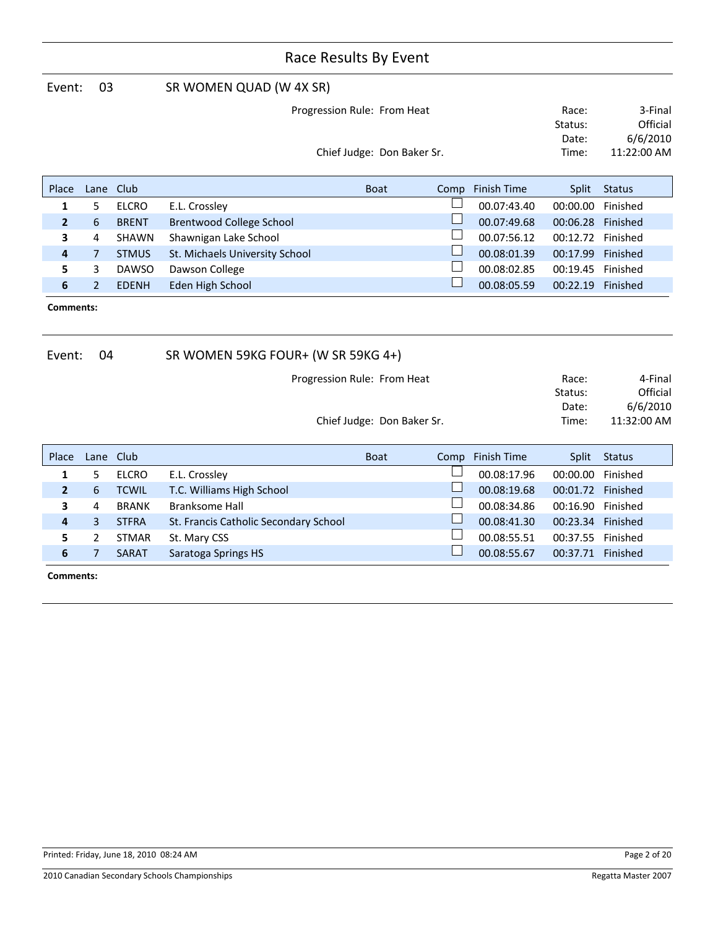| 03<br>Event:                                              |                |              | SR WOMEN QUAD (W 4X SR)            |                             |                                    |                                                |          |               |  |  |
|-----------------------------------------------------------|----------------|--------------|------------------------------------|-----------------------------|------------------------------------|------------------------------------------------|----------|---------------|--|--|
| Progression Rule: From Heat<br>Chief Judge: Don Baker Sr. |                |              |                                    |                             | Race:<br>Status:<br>Date:<br>Time: | 3-Final<br>Official<br>6/6/2010<br>11:22:00 AM |          |               |  |  |
| Place                                                     | Lane           | Club         |                                    | <b>Boat</b>                 | Comp                               | Finish Time                                    | Split    | <b>Status</b> |  |  |
| 1                                                         | 5              | <b>ELCRO</b> | E.L. Crossley                      |                             |                                    | 00.07:43.40                                    | 00:00.00 | Finished      |  |  |
| $\overline{2}$                                            | 6              | <b>BRENT</b> | Brentwood College School           |                             |                                    | 00.07:49.68                                    | 00:06.28 | Finished      |  |  |
| 3                                                         | 4              | SHAWN        | Shawnigan Lake School              |                             |                                    | 00.07:56.12                                    | 00:12.72 | Finished      |  |  |
| $\overline{4}$                                            | $\overline{7}$ | <b>STMUS</b> | St. Michaels University School     |                             |                                    | 00.08:01.39                                    | 00:17.99 | Finished      |  |  |
| 5                                                         | 3              | <b>DAWSO</b> | Dawson College                     |                             |                                    | 00.08:02.85                                    | 00:19.45 | Finished      |  |  |
| 6                                                         | $\overline{2}$ | <b>EDENH</b> | Eden High School                   |                             |                                    | 00.08:05.59                                    | 00:22.19 | Finished      |  |  |
| Comments:                                                 |                |              |                                    |                             |                                    |                                                |          |               |  |  |
| Event:                                                    | 04             |              | SR WOMEN 59KG FOUR+ (W SR 59KG 4+) |                             |                                    |                                                |          |               |  |  |
|                                                           |                |              |                                    | Progression Rule: From Heat |                                    |                                                | Race:    | 4-Final       |  |  |
|                                                           |                |              |                                    |                             |                                    |                                                | Status:  | Official      |  |  |

Chief Judge: Don Baker Sr. Time: 11:32:00 AM Date: 6/6/2010

| Place |   | Lane Club    |                                       | <b>Boat</b> | Comp | Finish Time | Split             | Status   |
|-------|---|--------------|---------------------------------------|-------------|------|-------------|-------------------|----------|
| 1     |   | <b>ELCRO</b> | E.L. Crossley                         |             |      | 00.08:17.96 | 00:00.00          | Finished |
|       | 6 | <b>TCWIL</b> | T.C. Williams High School             |             |      | 00.08:19.68 | 00:01.72 Finished |          |
| 3     | 4 | <b>BRANK</b> | <b>Branksome Hall</b>                 |             |      | 00.08:34.86 | 00:16.90          | Finished |
| 4     | 3 | <b>STFRA</b> | St. Francis Catholic Secondary School |             |      | 00.08:41.30 | 00:23.34          | Finished |
|       |   | <b>STMAR</b> | St. Mary CSS                          |             |      | 00.08:55.51 | 00:37.55          | Finished |
| 6     |   | <b>SARAT</b> | Saratoga Springs HS                   |             |      | 00.08:55.67 | 00:37.71          | Finished |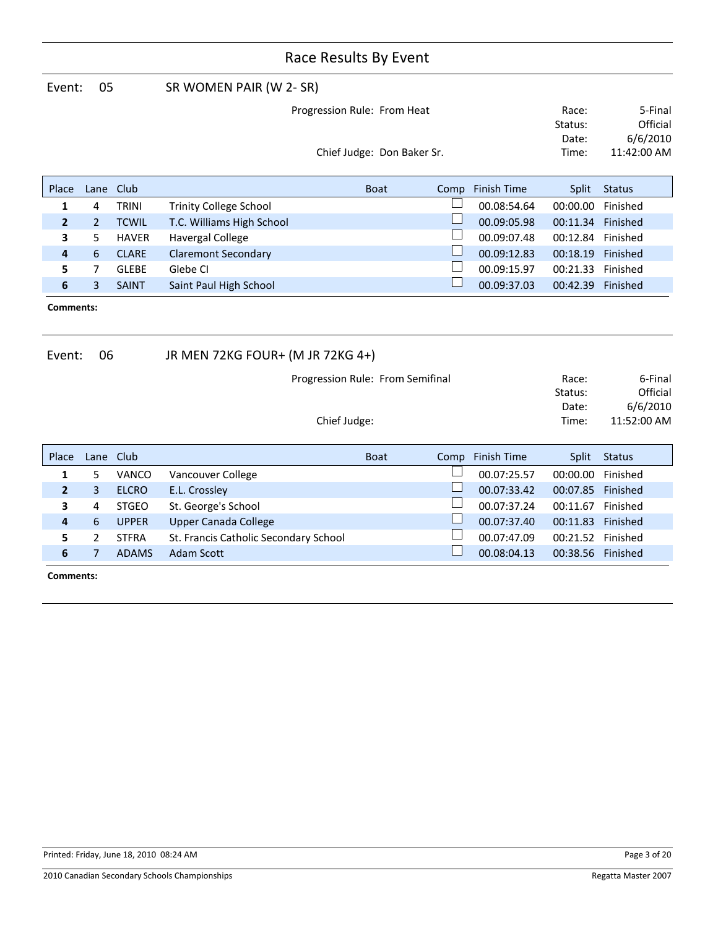| Event:                     | 05             |              |                                       | SR WOMEN PAIR (W 2- SR)          |                            |      |                    |                           |                                 |  |  |
|----------------------------|----------------|--------------|---------------------------------------|----------------------------------|----------------------------|------|--------------------|---------------------------|---------------------------------|--|--|
|                            |                |              | Progression Rule: From Heat           |                                  |                            |      |                    | Race:<br>Status:          | 5-Final<br>Official             |  |  |
|                            |                |              |                                       |                                  |                            |      |                    | Date:                     | 6/6/2010                        |  |  |
|                            |                |              |                                       |                                  | Chief Judge: Don Baker Sr. |      |                    | Time:                     | 11:42:00 AM                     |  |  |
| Place                      | Lane           | Club         |                                       |                                  | <b>Boat</b>                | Comp | <b>Finish Time</b> | Split                     | <b>Status</b>                   |  |  |
| 1                          | 4              | <b>TRINI</b> | <b>Trinity College School</b>         |                                  |                            |      | 00.08:54.64        | 00:00.00                  | Finished                        |  |  |
| $\overline{2}$             | $\overline{2}$ | <b>TCWIL</b> | T.C. Williams High School             |                                  |                            |      | 00.09:05.98        | 00:11.34                  | Finished                        |  |  |
| 3                          | 5              | <b>HAVER</b> | <b>Havergal College</b>               |                                  |                            |      | 00.09:07.48        | 00:12.84                  | Finished                        |  |  |
| 4                          | 6              | <b>CLARE</b> | <b>Claremont Secondary</b>            |                                  |                            |      | 00.09:12.83        | 00:18.19                  | Finished                        |  |  |
| 5                          | 7              | <b>GLEBE</b> | Glebe CI                              |                                  |                            |      | 00.09:15.97        | 00:21.33                  | Finished                        |  |  |
| 6                          | 3              | <b>SAINT</b> | Saint Paul High School                |                                  |                            |      | 00.09:37.03        | 00:42.39                  | Finished                        |  |  |
| <b>Comments:</b><br>Event: | 06             |              | JR MEN 72KG FOUR+ (M JR 72KG 4+)      |                                  |                            |      |                    |                           |                                 |  |  |
|                            |                |              |                                       |                                  |                            |      |                    |                           |                                 |  |  |
|                            |                |              |                                       | Progression Rule: From Semifinal |                            |      |                    | Race:<br>Status:<br>Date: | 6-Final<br>Official<br>6/6/2010 |  |  |
|                            |                |              |                                       | Chief Judge:                     |                            |      |                    | Time:                     | 11:52:00 AM                     |  |  |
| Place                      | Lane           | Club         |                                       |                                  | <b>Boat</b>                | Comp | <b>Finish Time</b> | Split                     | <b>Status</b>                   |  |  |
| 1                          | 5              | VANCO        | Vancouver College                     |                                  |                            |      | 00.07:25.57        | 00:00.00                  | Finished                        |  |  |
| $\overline{2}$             | 3              | <b>ELCRO</b> | E.L. Crossley                         |                                  |                            |      | 00.07:33.42        | 00:07.85                  | Finished                        |  |  |
| 3                          | 4              | <b>STGEO</b> | St. George's School                   |                                  |                            |      | 00.07:37.24        | 00:11.67                  | Finished                        |  |  |
| 4                          | 6              | <b>UPPER</b> | <b>Upper Canada College</b>           |                                  |                            |      | 00.07:37.40        | 00:11.83 Finished         |                                 |  |  |
| 5                          | 2              | <b>STFRA</b> | St. Francis Catholic Secondary School |                                  |                            |      | 00.07:47.09        | 00:21.52                  | Finished                        |  |  |

**5** 2 STFRA St. Francis Catholic Secondary School 00.07:47.09 00:21.52 Finished **6** 7 ADAMS Adam Scott **10.08:04.13 00:38.56 Finished**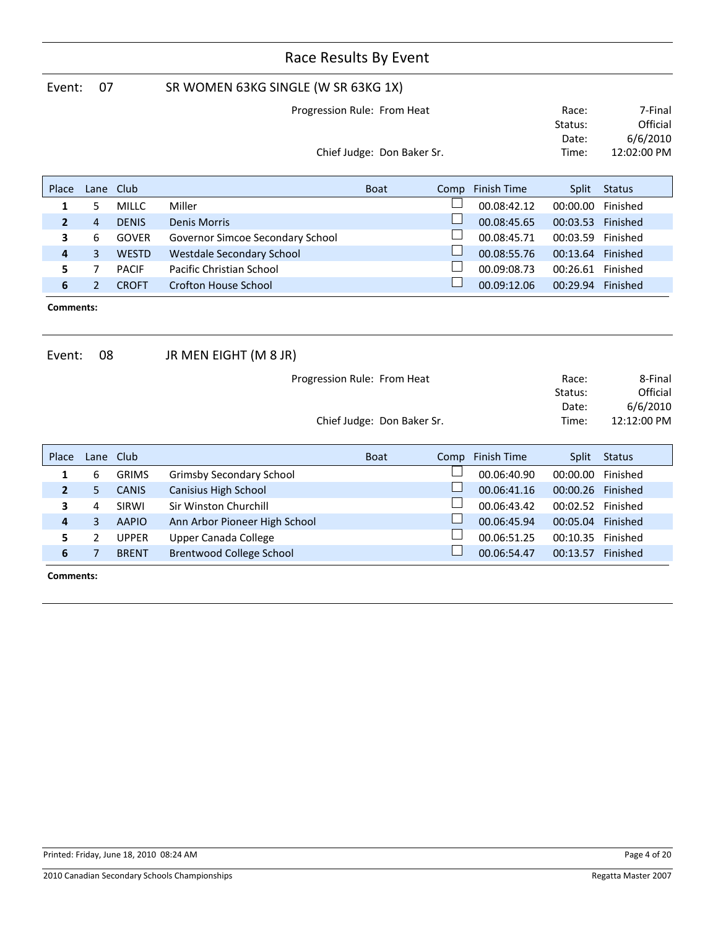|                     | Race Results By Event |              |                                     |                             |      |                    |                   |               |  |  |
|---------------------|-----------------------|--------------|-------------------------------------|-----------------------------|------|--------------------|-------------------|---------------|--|--|
| Event:              | 07                    |              | SR WOMEN 63KG SINGLE (W SR 63KG 1X) |                             |      |                    |                   |               |  |  |
|                     |                       |              |                                     | Progression Rule: From Heat |      |                    | Race:             | 7-Final       |  |  |
|                     |                       |              |                                     |                             |      |                    | Status:           | Official      |  |  |
|                     |                       |              |                                     |                             |      |                    | Date:             | 6/6/2010      |  |  |
|                     |                       |              |                                     | Chief Judge: Don Baker Sr.  |      |                    | Time:             | 12:02:00 PM   |  |  |
| Place               | Lane                  | Club         |                                     | <b>Boat</b>                 | Comp | <b>Finish Time</b> | Split             | <b>Status</b> |  |  |
| 1                   | 5                     | <b>MILLC</b> | Miller                              |                             |      | 00.08:42.12        | 00:00.00          | Finished      |  |  |
| $\overline{2}$      | $\overline{4}$        | <b>DENIS</b> | <b>Denis Morris</b>                 |                             |      | 00.08:45.65        | 00:03.53          | Finished      |  |  |
| 3                   | 6                     | <b>GOVER</b> | Governor Simcoe Secondary School    |                             |      | 00.08:45.71        | 00:03.59          | Finished      |  |  |
| 4                   | $\overline{3}$        | <b>WESTD</b> | <b>Westdale Secondary School</b>    |                             |      | 00.08:55.76        | 00:13.64 Finished |               |  |  |
| 5                   | $\overline{7}$        | <b>PACIF</b> | Pacific Christian School            |                             |      | 00.09:08.73        | 00:26.61          | Finished      |  |  |
| 6                   | $\overline{2}$        | <b>CROFT</b> | <b>Crofton House School</b>         |                             |      | 00.09:12.06        | 00:29.94 Finished |               |  |  |
| Comments:<br>Event: | 08                    |              | JR MEN EIGHT (M 8 JR)               |                             |      |                    |                   |               |  |  |
|                     |                       |              |                                     | Progression Rule: From Heat |      |                    | Race:             | 8-Final       |  |  |
|                     |                       |              |                                     |                             |      |                    | Status:           | Official      |  |  |
|                     |                       |              |                                     |                             |      |                    | Date:             | 6/6/2010      |  |  |
|                     |                       |              |                                     | Chief Judge: Don Baker Sr.  |      |                    | Time:             | 12:12:00 PM   |  |  |
| Place               | Lane                  | Club         |                                     | <b>Boat</b>                 | Comp | <b>Finish Time</b> | Split             | <b>Status</b> |  |  |
| $\mathbf{1}$        | 6                     | <b>GRIMS</b> | <b>Grimsby Secondary School</b>     |                             |      | 00.06:40.90        | 00:00.00          | Finished      |  |  |
| $\overline{2}$      | 5                     | <b>CANIS</b> | Canisius High School                |                             |      | 00.06:41.16        | 00:00.26 Finished |               |  |  |
| 3                   | 4                     | SIRWI        | Sir Winston Churchill               |                             |      | 00.06:43.42        | 00:02.52 Finished |               |  |  |
| 4                   | 3                     | <b>AAPIO</b> | Ann Arbor Pioneer High School       |                             |      | 00.06:45.94        | 00:05.04          | Finished      |  |  |
| 5                   | $\overline{2}$        | <b>UPPER</b> | <b>Upper Canada College</b>         |                             |      | 00.06:51.25        | 00:10.35          | Finished      |  |  |
| 6                   | $\overline{7}$        | <b>BRENT</b> | <b>Brentwood College School</b>     |                             |      | 00.06:54.47        | 00:13.57 Finished |               |  |  |
| Comments:           |                       |              |                                     |                             |      |                    |                   |               |  |  |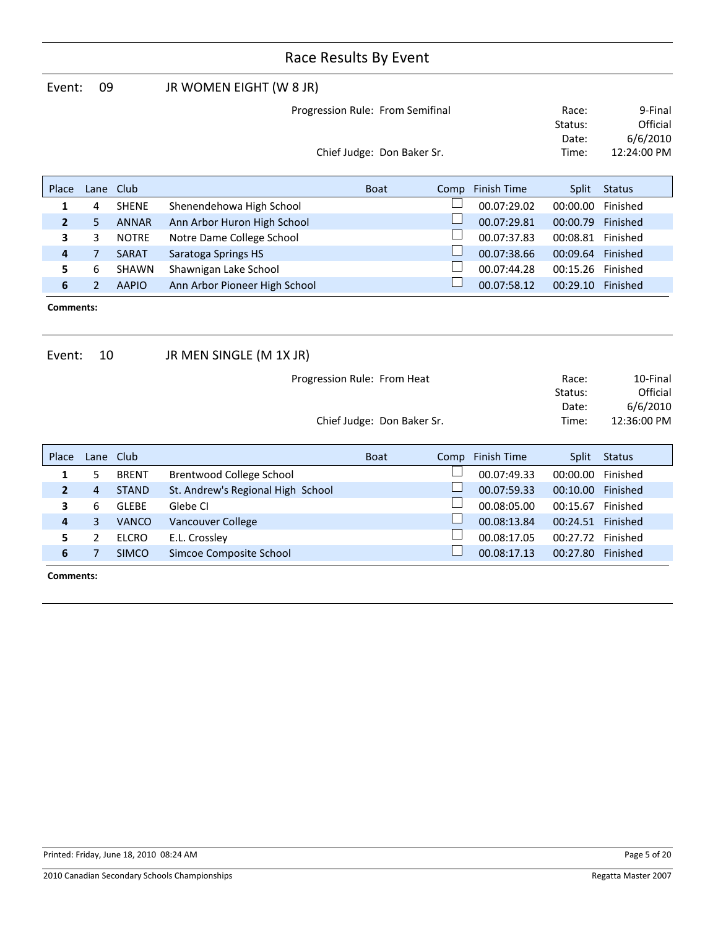| Event:         | 09                               |              | JR WOMEN EIGHT (W 8 JR)       |                            |      |             |                   |               |
|----------------|----------------------------------|--------------|-------------------------------|----------------------------|------|-------------|-------------------|---------------|
|                | Progression Rule: From Semifinal |              |                               |                            |      |             | Race:             | 9-Final       |
|                |                                  |              |                               |                            |      |             | Status:           | Official      |
|                |                                  |              |                               |                            |      |             | Date:             | 6/6/2010      |
|                |                                  |              |                               | Chief Judge: Don Baker Sr. |      |             | Time:             | 12:24:00 PM   |
|                |                                  |              |                               |                            |      |             |                   |               |
| Place          | Lane                             | Club         |                               | <b>Boat</b>                | Comp | Finish Time | Split             | <b>Status</b> |
| 1              | 4                                | <b>SHENE</b> | Shenendehowa High School      |                            |      | 00.07:29.02 | 00:00.00          | Finished      |
| $\overline{2}$ | 5.                               | <b>ANNAR</b> | Ann Arbor Huron High School   |                            |      | 00.07:29.81 | 00:00.79          | Finished      |
| 3              | 3                                | <b>NOTRE</b> | Notre Dame College School     |                            |      | 00.07:37.83 | 00:08.81          | Finished      |
| $\overline{4}$ | $\overline{7}$                   | <b>SARAT</b> | Saratoga Springs HS           |                            |      | 00.07:38.66 | 00:09.64 Finished |               |
| 5.             | 6                                | <b>SHAWN</b> | Shawnigan Lake School         |                            |      | 00.07:44.28 | 00:15.26          | Finished      |
| 6              | $\overline{2}$                   | <b>AAPIO</b> | Ann Arbor Pioneer High School |                            |      | 00.07:58.12 | 00:29.10          | Finished      |
| Comments:      |                                  |              |                               |                            |      |             |                   |               |

| Event:         | 10             |              | JR MEN SINGLE (M 1X JR)           |                             |      |                    |              |               |
|----------------|----------------|--------------|-----------------------------------|-----------------------------|------|--------------------|--------------|---------------|
|                |                |              |                                   | Progression Rule: From Heat |      |                    | Race:        | 10-Final      |
|                |                |              |                                   |                             |      |                    | Status:      | Official      |
|                |                |              |                                   |                             |      |                    | Date:        | 6/6/2010      |
|                |                |              |                                   | Chief Judge: Don Baker Sr.  |      |                    | Time:        | 12:36:00 PM   |
|                |                |              |                                   |                             |      |                    |              |               |
| Place          | Lane           | Club         |                                   | <b>Boat</b>                 | Comp | <b>Finish Time</b> | <b>Split</b> | <b>Status</b> |
| 1              | 5              | <b>BRENT</b> | Brentwood College School          |                             |      | 00.07:49.33        | 00:00.00     | Finished      |
| $\overline{2}$ | $\overline{4}$ | <b>STAND</b> | St. Andrew's Regional High School |                             |      | 00.07:59.33        | 00:10.00     | Finished      |
| 3              | 6              | GLEBE        | Glebe CI                          |                             |      | 00.08:05.00        | 00:15.67     | Finished      |
| $\overline{4}$ | 3              | <b>VANCO</b> | Vancouver College                 |                             |      | 00.08:13.84        | 00:24.51     | Finished      |
| 5              | 2              | <b>ELCRO</b> | E.L. Crossley                     |                             |      | 00.08:17.05        | 00:27.72     | Finished      |
| 6              | 7              | <b>SIMCO</b> | Simcoe Composite School           |                             |      | 00.08:17.13        | 00:27.80     | Finished      |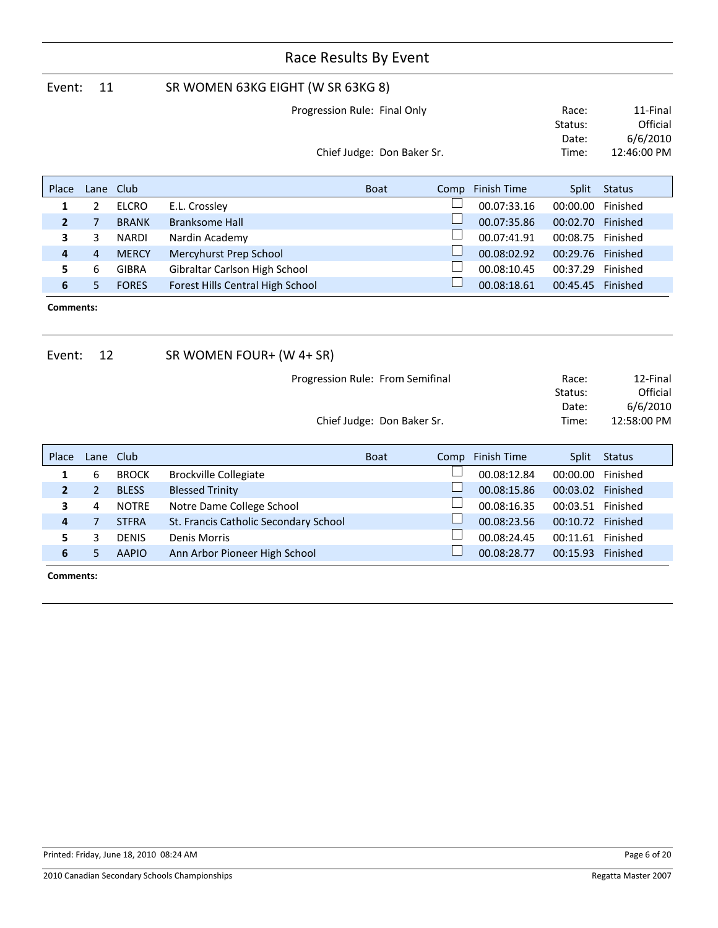|                     | Race Results By Event |              |                                       |                                                                |      |                    |                                    |                                                 |  |  |
|---------------------|-----------------------|--------------|---------------------------------------|----------------------------------------------------------------|------|--------------------|------------------------------------|-------------------------------------------------|--|--|
| Event:              | 11                    |              | SR WOMEN 63KG EIGHT (W SR 63KG 8)     |                                                                |      |                    |                                    |                                                 |  |  |
|                     |                       |              |                                       | Progression Rule: Final Only                                   |      |                    | Race:                              | 11-Final                                        |  |  |
|                     |                       |              |                                       |                                                                |      |                    | Status:                            | Official                                        |  |  |
|                     |                       |              |                                       |                                                                |      |                    | Date:                              | 6/6/2010                                        |  |  |
|                     |                       |              |                                       | Chief Judge: Don Baker Sr.                                     |      |                    | Time:                              | 12:46:00 PM                                     |  |  |
| Place               | Lane                  | Club         |                                       | <b>Boat</b>                                                    | Comp | <b>Finish Time</b> | Split                              | <b>Status</b>                                   |  |  |
| 1                   | $\overline{2}$        | <b>ELCRO</b> | E.L. Crossley                         |                                                                |      | 00.07:33.16        | 00:00.00                           | Finished                                        |  |  |
| $\overline{2}$      | 7                     | <b>BRANK</b> | <b>Branksome Hall</b>                 |                                                                |      | 00.07:35.86        | 00:02.70                           | Finished                                        |  |  |
| 3                   | 3                     | <b>NARDI</b> | Nardin Academy                        |                                                                |      | 00.07:41.91        | 00:08.75                           | Finished                                        |  |  |
| 4                   | 4                     | <b>MERCY</b> | Mercyhurst Prep School                |                                                                |      | 00.08:02.92        | 00:29.76 Finished                  |                                                 |  |  |
| 5                   | 6                     | <b>GIBRA</b> | Gibraltar Carlson High School         |                                                                |      | 00.08:10.45        | 00:37.29                           | Finished                                        |  |  |
| 6                   | 5                     | <b>FORES</b> | Forest Hills Central High School      |                                                                |      | 00.08:18.61        | 00:45.45 Finished                  |                                                 |  |  |
| Comments:<br>Event: | 12                    |              | SR WOMEN FOUR+ (W 4+ SR)              |                                                                |      |                    |                                    |                                                 |  |  |
|                     |                       |              |                                       | Progression Rule: From Semifinal<br>Chief Judge: Don Baker Sr. |      |                    | Race:<br>Status:<br>Date:<br>Time: | 12-Final<br>Official<br>6/6/2010<br>12:58:00 PM |  |  |
|                     |                       |              |                                       |                                                                |      |                    |                                    |                                                 |  |  |
| Place               | Lane                  | Club         |                                       | <b>Boat</b>                                                    | Comp | <b>Finish Time</b> | Split                              | <b>Status</b>                                   |  |  |
| 1                   | 6                     | <b>BROCK</b> | <b>Brockville Collegiate</b>          |                                                                |      | 00.08:12.84        | 00:00.00                           | Finished                                        |  |  |
| $\mathbf{2}$        | $\overline{2}$        | <b>BLESS</b> | <b>Blessed Trinity</b>                |                                                                |      | 00.08:15.86        | 00:03.02 Finished                  |                                                 |  |  |
| 3                   | 4                     | <b>NOTRE</b> | Notre Dame College School             |                                                                |      | 00.08:16.35        | 00:03.51 Finished                  |                                                 |  |  |
| 4                   | $\overline{7}$        | <b>STFRA</b> | St. Francis Catholic Secondary School |                                                                |      | 00.08:23.56        | 00:10.72 Finished                  |                                                 |  |  |
| 5                   | 3                     | <b>DENIS</b> | <b>Denis Morris</b>                   |                                                                |      | 00.08:24.45        | 00:11.61 Finished                  |                                                 |  |  |
| 6                   | 5                     | <b>AAPIO</b> | Ann Arbor Pioneer High School         |                                                                |      | 00.08:28.77        | 00:15.93 Finished                  |                                                 |  |  |
| Comments:           |                       |              |                                       |                                                                |      |                    |                                    |                                                 |  |  |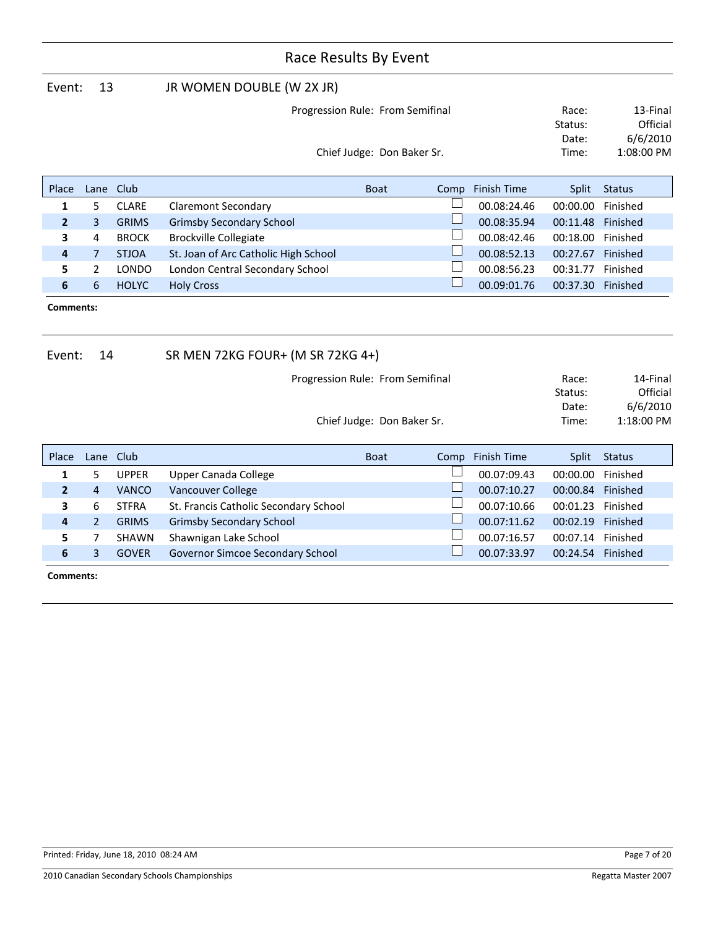| Event:         | 13                               |              | JR WOMEN DOUBLE (W 2X JR)            |             |      |             |          |               |  |
|----------------|----------------------------------|--------------|--------------------------------------|-------------|------|-------------|----------|---------------|--|
|                | Progression Rule: From Semifinal |              |                                      |             |      |             | Race:    | 13-Final      |  |
|                |                                  |              |                                      |             |      |             | Status:  | Official      |  |
|                |                                  |              |                                      |             |      |             |          | 6/6/2010      |  |
|                | Chief Judge: Don Baker Sr.       |              |                                      |             |      |             |          | 1:08:00 PM    |  |
|                |                                  |              |                                      |             |      |             |          |               |  |
| Place          | Lane                             | Club         |                                      | <b>Boat</b> | Comp | Finish Time | Split    | <b>Status</b> |  |
| 1              | 5.                               | <b>CLARE</b> | <b>Claremont Secondary</b>           |             |      | 00.08:24.46 | 00:00.00 | Finished      |  |
| $\overline{2}$ | $\overline{3}$                   | <b>GRIMS</b> | <b>Grimsby Secondary School</b>      |             |      | 00.08:35.94 | 00:11.48 | Finished      |  |
| 3              | 4                                | <b>BROCK</b> | <b>Brockville Collegiate</b>         |             |      | 00.08:42.46 | 00:18.00 | Finished      |  |
| 4              | $\overline{7}$                   | <b>STJOA</b> | St. Joan of Arc Catholic High School |             |      | 00.08:52.13 | 00:27.67 | Finished      |  |
| 5.             | $\mathbf{2}$                     | <b>LONDO</b> | London Central Secondary School      |             |      | 00.08:56.23 | 00:31.77 | Finished      |  |
| 6              | 6                                | <b>HOLYC</b> | <b>Holy Cross</b>                    |             |      | 00.09:01.76 | 00:37.30 | Finished      |  |
|                | Comments:                        |              |                                      |             |      |             |          |               |  |

| Event:         | 14             |              | SR MEN 72KG FOUR+ (M SR 72KG 4+)      |                            |      |             |                  |                        |
|----------------|----------------|--------------|---------------------------------------|----------------------------|------|-------------|------------------|------------------------|
|                |                |              | Progression Rule: From Semifinal      |                            |      |             | Race:<br>Status: | 14-Final<br>Official   |
|                |                |              |                                       | Chief Judge: Don Baker Sr. |      |             | Date:<br>Time:   | 6/6/2010<br>1:18:00 PM |
| Place          | Lane           | Club         |                                       | <b>Boat</b>                | Comp | Finish Time | <b>Split</b>     | <b>Status</b>          |
| 1              | 5              | <b>UPPER</b> | Upper Canada College                  |                            |      | 00.07:09.43 | 00:00.00         | Finished               |
| $\overline{2}$ | 4              | <b>VANCO</b> | Vancouver College                     |                            |      | 00.07:10.27 | 00:00.84         | Finished               |
| 3              | 6              | <b>STFRA</b> | St. Francis Catholic Secondary School |                            |      | 00.07:10.66 | 00:01.23         | Finished               |
| $\overline{4}$ | $\overline{2}$ | <b>GRIMS</b> | <b>Grimsby Secondary School</b>       |                            |      | 00.07:11.62 | 00:02.19         | Finished               |
| 5              | 7              | <b>SHAWN</b> | Shawnigan Lake School                 |                            |      | 00.07:16.57 | 00:07.14         | Finished               |
| 6              | 3              | <b>GOVER</b> | Governor Simcoe Secondary School      |                            |      | 00.07:33.97 | 00:24.54         | Finished               |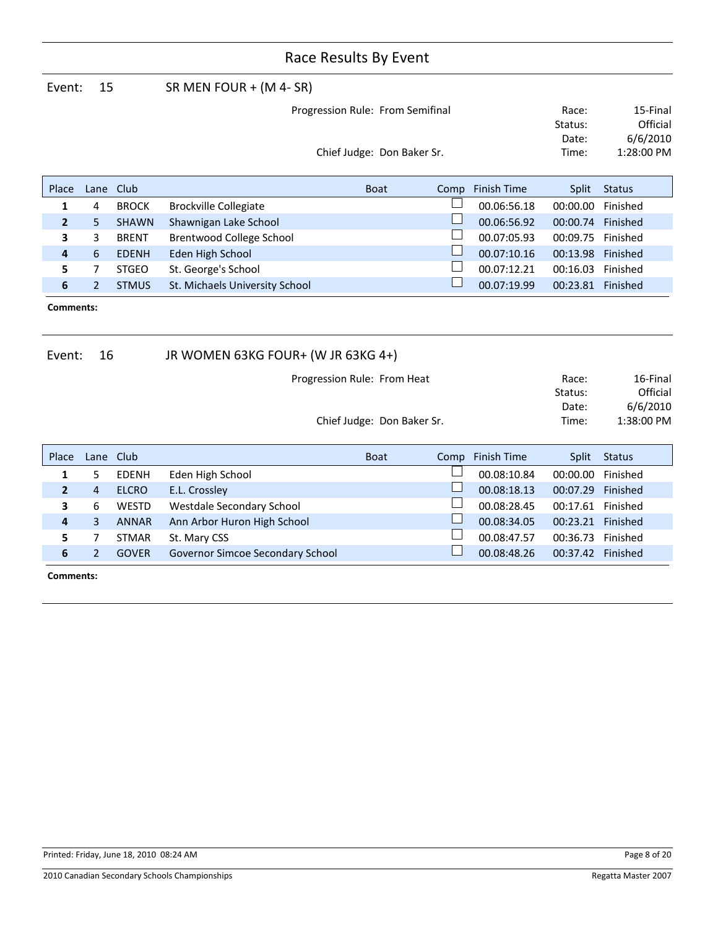| Event:           | 15             |              | SR MEN FOUR $+$ (M 4- SR)          |             |                            |      |                    |                   |               |
|------------------|----------------|--------------|------------------------------------|-------------|----------------------------|------|--------------------|-------------------|---------------|
|                  |                |              | Progression Rule: From Semifinal   |             |                            |      |                    | Race:             | 15-Final      |
|                  |                |              |                                    |             |                            |      |                    | Status:           | Official      |
|                  |                |              |                                    |             |                            |      |                    | Date:             | 6/6/2010      |
|                  |                |              |                                    |             | Chief Judge: Don Baker Sr. |      |                    | Time:             | 1:28:00 PM    |
| Place            | Lane           | Club         |                                    | <b>Boat</b> |                            | Comp | <b>Finish Time</b> | Split             | <b>Status</b> |
| 1                | 4              | <b>BROCK</b> | <b>Brockville Collegiate</b>       |             |                            |      | 00.06:56.18        | 00:00.00          | Finished      |
| $\overline{2}$   | 5              | <b>SHAWN</b> | Shawnigan Lake School              |             |                            |      | 00.06:56.92        | 00:00.74          | Finished      |
| 3                | 3              | <b>BRENT</b> | Brentwood College School           |             |                            |      | 00.07:05.93        | 00:09.75          | Finished      |
| 4                | 6              | <b>EDENH</b> | Eden High School                   |             |                            |      | 00.07:10.16        | 00:13.98          | Finished      |
| 5                | 7              | <b>STGEO</b> | St. George's School                |             |                            |      | 00.07:12.21        | 00:16.03          | Finished      |
| 6                | $\overline{2}$ | <b>STMUS</b> | St. Michaels University School     |             |                            |      | 00.07:19.99        | 00:23.81 Finished |               |
| <b>Comments:</b> |                |              |                                    |             |                            |      |                    |                   |               |
| Event:           | 16             |              | JR WOMEN 63KG FOUR+ (W JR 63KG 4+) |             |                            |      |                    |                   |               |
|                  |                |              | Progression Rule: From Heat        |             |                            |      |                    | Race:             | 16-Final      |
|                  |                |              |                                    |             |                            |      |                    | Status:           | Official      |
|                  |                |              |                                    |             |                            |      |                    | Date:             | 6/6/2010      |
|                  |                |              |                                    |             | Chief Judge: Don Baker Sr. |      |                    | Time:             | 1:38:00 PM    |
|                  |                |              |                                    |             |                            |      |                    |                   |               |

| Place        |   | Lane Club    |                                         | <b>Boat</b> | Comp | Finish Time |          | Split Status |
|--------------|---|--------------|-----------------------------------------|-------------|------|-------------|----------|--------------|
| $\mathbf{1}$ | 5 | EDENH        | Eden High School                        |             |      | 00.08:10.84 | 00:00.00 | Finished     |
|              | 4 | <b>ELCRO</b> | E.L. Crossley                           |             |      | 00.08:18.13 | 00:07.29 | Finished     |
| 3            | 6 | WESTD        | Westdale Secondary School               |             |      | 00.08:28.45 | 00:17.61 | Finished     |
| 4            | 3 | ANNAR        | Ann Arbor Huron High School             |             |      | 00.08:34.05 | 00:23.21 | Finished     |
| 5.           |   | <b>STMAR</b> | St. Mary CSS                            |             |      | 00.08:47.57 | 00:36.73 | Finished     |
| 6            |   | <b>GOVER</b> | <b>Governor Simcoe Secondary School</b> |             |      | 00.08:48.26 | 00:37.42 | Finished     |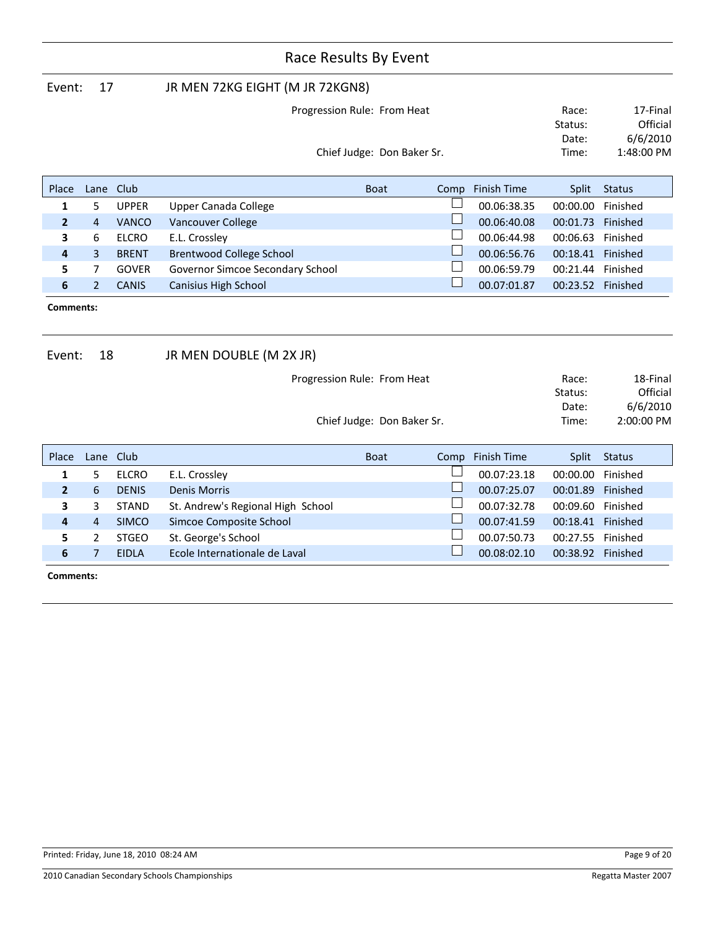|                            | Event:<br>17   |              |                                  | JR MEN 72KG EIGHT (M JR 72KGN8) |      |             |                   |               |  |
|----------------------------|----------------|--------------|----------------------------------|---------------------------------|------|-------------|-------------------|---------------|--|
|                            |                |              |                                  | Progression Rule: From Heat     |      |             | Race:             | 17-Final      |  |
|                            |                |              |                                  |                                 |      | Status:     | Official          |               |  |
|                            |                |              |                                  |                                 |      |             | Date:             | 6/6/2010      |  |
| Chief Judge: Don Baker Sr. |                |              |                                  |                                 |      | Time:       | 1:48:00 PM        |               |  |
|                            |                |              |                                  |                                 |      |             |                   |               |  |
| Place                      |                | Lane Club    |                                  | <b>Boat</b>                     | Comp | Finish Time | Split             | <b>Status</b> |  |
| 1                          | 5              | <b>UPPER</b> | Upper Canada College             |                                 |      | 00.06:38.35 | 00:00.00          | Finished      |  |
| $\overline{2}$             | 4              | <b>VANCO</b> | Vancouver College                |                                 |      | 00.06:40.08 | 00:01.73          | Finished      |  |
| 3                          | 6              | ELCRO        | E.L. Crossley                    |                                 |      | 00.06:44.98 | 00:06.63          | Finished      |  |
| $\overline{\mathbf{4}}$    | $\overline{3}$ | <b>BRENT</b> | Brentwood College School         |                                 |      | 00.06:56.76 | 00:18.41          | Finished      |  |
| 5.                         | 7              | <b>GOVER</b> | Governor Simcoe Secondary School |                                 |      | 00.06:59.79 | 00:21.44          | Finished      |  |
| 6                          | $\overline{2}$ | <b>CANIS</b> | Canisius High School             |                                 |      | 00.07:01.87 | 00:23.52 Finished |               |  |
| <b>Comments:</b>           |                |              |                                  |                                 |      |             |                   |               |  |

Event: 18 JR MEN DOUBLE (M 2X JR) Place Lane Club **Boat Accomplish Time Split Status** Boat Comp Finish Time Split Status Progression Rule: From Heat Chief Judge: Don Baker Sr. Time: 2:00:00 PM Date: 6/6/2010 Race: 18-Final Status: Official **1** 5 ELCRO E.L. Crossley **1** 00.07:23.18 00:00.00 Finished **2** 6 DENIS Denis Morris **Denis All and School** Co.07:25.07 00:01.89 Finished **2** 00.07:25.07 00:01.89 Finished **3** 3 STAND St. Andrew's Regional High School **19 10 100.07:32.78 00:09.60** Finished<br> **4** 4 SIMCO Simcoe Composite School **19 10:00:07:41 59 10:18:41** Finished **4** 4 SIMCO Simcoe Composite School **1996 100.07:41.59 00:18.41** Finished<br> **5** 2 STGEO St George's School **1996 10:07:50:23** 00:27:55 Finished **5** 2 STGEO St. George's School 00.07:50.73 00:27.55 Finished

**6** 7 EIDLA Ecole Internationale de Laval **DEE 100.08:02.10** 00:38.92 Finished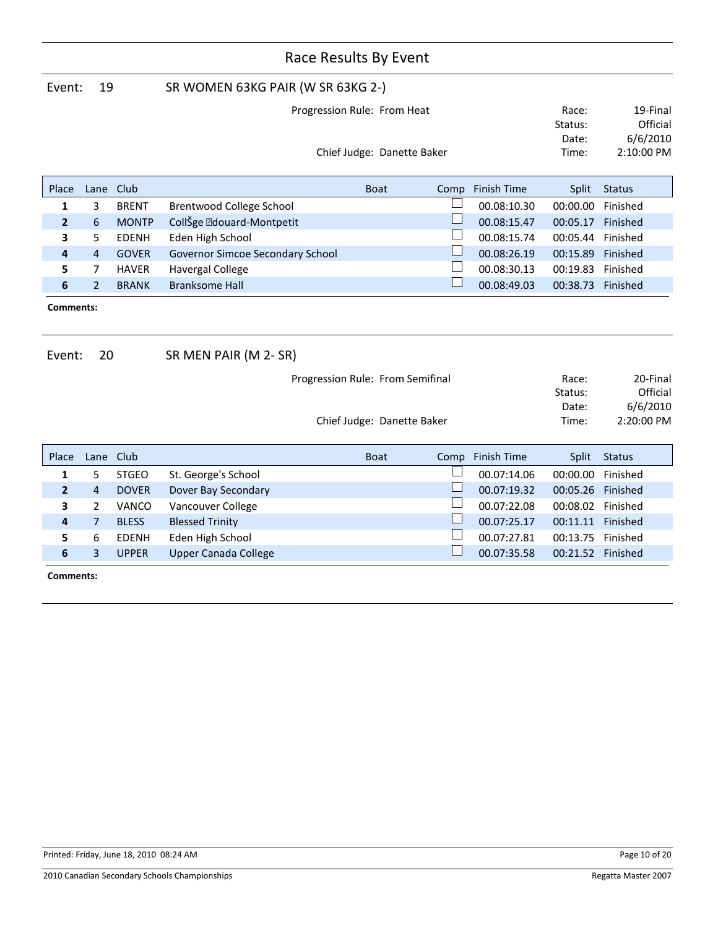|                     | Race Results By Event |              |                                   |                                                                |  |      |                    |                                    |                                                |
|---------------------|-----------------------|--------------|-----------------------------------|----------------------------------------------------------------|--|------|--------------------|------------------------------------|------------------------------------------------|
| Event:              | 19                    |              | SR WOMEN 63KG PAIR (W SR 63KG 2-) |                                                                |  |      |                    |                                    |                                                |
|                     |                       |              |                                   | Progression Rule: From Heat                                    |  |      |                    | Race:<br>Status:<br>Date:          | 19-Final<br>Official<br>6/6/2010               |
|                     |                       |              |                                   | Chief Judge: Danette Baker                                     |  |      |                    | Time:                              | 2:10:00 PM                                     |
| Place               | Lane                  | Club         |                                   | <b>Boat</b>                                                    |  | Comp | <b>Finish Time</b> | Split                              | <b>Status</b>                                  |
| 1                   | 3                     | <b>BRENT</b> | Brentwood College School          |                                                                |  |      | 00.08:10.30        | 00:00.00                           | Finished                                       |
| $\overline{2}$      | 6                     | <b>MONTP</b> | CollŠge · douard-Montpetit        |                                                                |  |      | 00.08:15.47        | 00:05.17 Finished                  |                                                |
| 3                   | 5                     | <b>EDENH</b> | Eden High School                  |                                                                |  |      | 00.08:15.74        | 00:05.44                           | Finished                                       |
| 4                   | $\overline{4}$        | <b>GOVER</b> | Governor Simcoe Secondary School  |                                                                |  |      | 00.08:26.19        | 00:15.89                           | Finished                                       |
| 5                   | 7                     | <b>HAVER</b> | <b>Havergal College</b>           |                                                                |  |      | 00.08:30.13        | 00:19.83                           | Finished                                       |
| 6                   | $\overline{2}$        | <b>BRANK</b> | <b>Branksome Hall</b>             |                                                                |  |      | 00.08:49.03        | 00:38.73                           | Finished                                       |
| Comments:<br>Event: | 20                    |              | SR MEN PAIR (M 2- SR)             |                                                                |  |      |                    |                                    |                                                |
|                     |                       |              |                                   | Progression Rule: From Semifinal<br>Chief Judge: Danette Baker |  |      |                    | Race:<br>Status:<br>Date:<br>Time: | 20-Final<br>Official<br>6/6/2010<br>2:20:00 PM |
|                     |                       |              |                                   |                                                                |  |      |                    |                                    |                                                |
| Place               | Lane                  | Club         |                                   | <b>Boat</b>                                                    |  | Comp | <b>Finish Time</b> | Split                              | <b>Status</b>                                  |
| 1                   | 5                     | <b>STGEO</b> | St. George's School               |                                                                |  |      | 00.07:14.06        | 00:00.00                           | Finished                                       |
| $\overline{2}$      | $\overline{4}$        | <b>DOVER</b> | Dover Bay Secondary               |                                                                |  |      | 00.07:19.32        | 00:05.26 Finished                  |                                                |
| 3                   | $\overline{2}$        | VANCO        | Vancouver College                 |                                                                |  |      | 00.07:22.08        | 00:08.02 Finished                  |                                                |
| 4                   | $\overline{7}$        | <b>BLESS</b> | <b>Blessed Trinity</b>            |                                                                |  |      | 00.07:25.17        | 00:11.11 Finished                  |                                                |
| 5                   | 6                     | <b>EDENH</b> | Eden High School                  |                                                                |  |      | 00.07:27.81        | 00:13.75                           | Finished                                       |
| 6                   | 3                     | <b>UPPER</b> | <b>Upper Canada College</b>       |                                                                |  |      | 00.07:35.58        | 00:21.52 Finished                  |                                                |
|                     | Comments:             |              |                                   |                                                                |  |      |                    |                                    |                                                |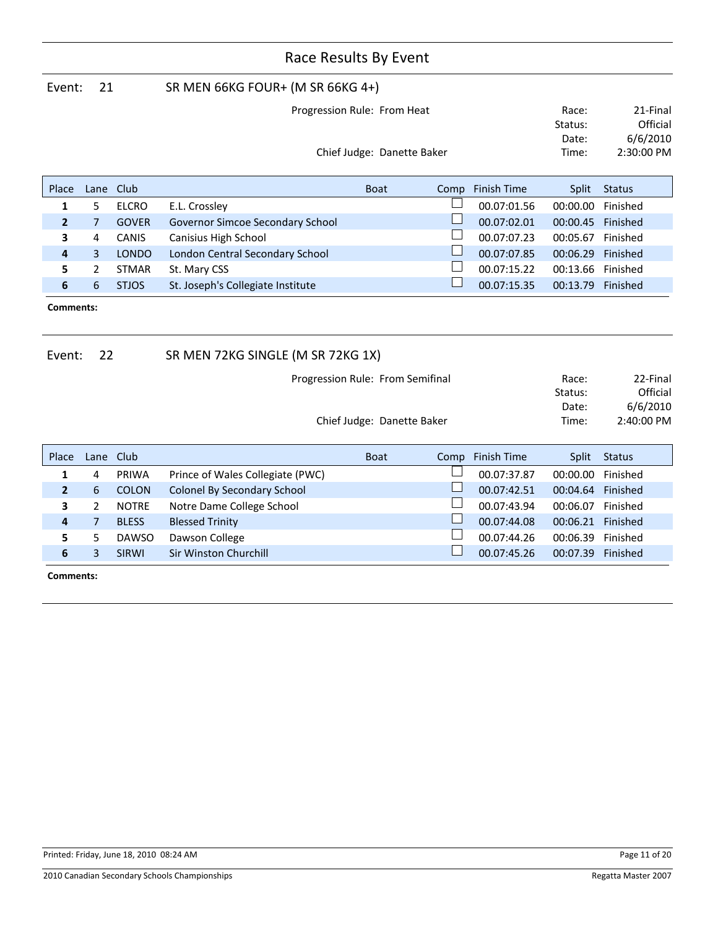|                     | Race Results By Event |              |                                   |                             |                                       |                    |                   |               |  |  |
|---------------------|-----------------------|--------------|-----------------------------------|-----------------------------|---------------------------------------|--------------------|-------------------|---------------|--|--|
| Event:              | 21                    |              | SR MEN 66KG FOUR+ (M SR 66KG 4+)  |                             |                                       |                    |                   |               |  |  |
|                     |                       |              |                                   | Progression Rule: From Heat |                                       |                    |                   |               |  |  |
|                     |                       |              |                                   |                             |                                       |                    | Status:           | Official      |  |  |
|                     |                       |              |                                   |                             |                                       |                    | Date:             | 6/6/2010      |  |  |
|                     |                       |              |                                   | Chief Judge: Danette Baker  |                                       |                    | Time:             | 2:30:00 PM    |  |  |
| Place               | Lane                  | Club         |                                   | <b>Boat</b>                 | Comp                                  | <b>Finish Time</b> | Split             | <b>Status</b> |  |  |
| 1                   | 5                     | <b>ELCRO</b> | E.L. Crossley                     |                             | $\mathbb{R}^n$                        | 00.07:01.56        | 00:00.00          | Finished      |  |  |
| $\mathbf{2}$        | 7                     | <b>GOVER</b> | Governor Simcoe Secondary School  |                             | $\mathbb{R}^n$                        | 00.07:02.01        | 00:00.45 Finished |               |  |  |
| 3                   | 4                     | CANIS        | Canisius High School              |                             | $\overline{\phantom{a}}$              | 00.07:07.23        | 00:05.67 Finished |               |  |  |
| 4                   | 3                     | <b>LONDO</b> | London Central Secondary School   |                             | $\Box$                                | 00.07:07.85        | 00:06.29          | Finished      |  |  |
| 5                   | 2                     | <b>STMAR</b> | St. Mary CSS                      |                             | $\mathcal{L}_{\mathcal{A}}$<br>$\Box$ | 00.07:15.22        | 00:13.66          | Finished      |  |  |
| 6                   | 6                     | <b>STJOS</b> | 00:13.79 Finished                 |                             |                                       |                    |                   |               |  |  |
| Comments:<br>Event: | 22                    |              | SR MEN 72KG SINGLE (M SR 72KG 1X) |                             |                                       |                    |                   |               |  |  |
|                     |                       |              | Progression Rule: From Semifinal  |                             |                                       |                    | Race:             | 22-Final      |  |  |
|                     |                       |              |                                   |                             |                                       |                    | Status:           | Official      |  |  |
|                     |                       |              |                                   |                             |                                       |                    | Date:             | 6/6/2010      |  |  |
|                     |                       |              |                                   | Chief Judge: Danette Baker  |                                       |                    | Time:             | 2:40:00 PM    |  |  |
| Place               | Lane                  | Club         |                                   | <b>Boat</b>                 | Comp                                  | <b>Finish Time</b> | Split             | <b>Status</b> |  |  |
| 1                   | 4                     | PRIWA        | Prince of Wales Collegiate (PWC)  |                             |                                       | 00.07:37.87        | 00:00.00          | Finished      |  |  |
| $\overline{2}$      | 6                     | <b>COLON</b> | Colonel By Secondary School       |                             |                                       | 00.07:42.51        | 00:04.64 Finished |               |  |  |
| 3                   | 2                     | <b>NOTRE</b> | Notre Dame College School         |                             | $\Box$                                | 00.07:43.94        | 00:06.07 Finished |               |  |  |
| 4                   | $\overline{7}$        | <b>BLESS</b> | <b>Blessed Trinity</b>            |                             | $\sqcup$                              | 00.07:44.08        | 00:06.21 Finished |               |  |  |
| 5                   | 5                     | <b>DAWSO</b> | Dawson College                    |                             | $\mathcal{L}$                         | 00.07:44.26        | 00:06.39          | Finished      |  |  |
| 6                   | 3                     | <b>SIRWI</b> | Sir Winston Churchill             |                             | $\Box$                                | 00.07:45.26        | 00:07.39 Finished |               |  |  |
|                     | Comments:             |              |                                   |                             |                                       |                    |                   |               |  |  |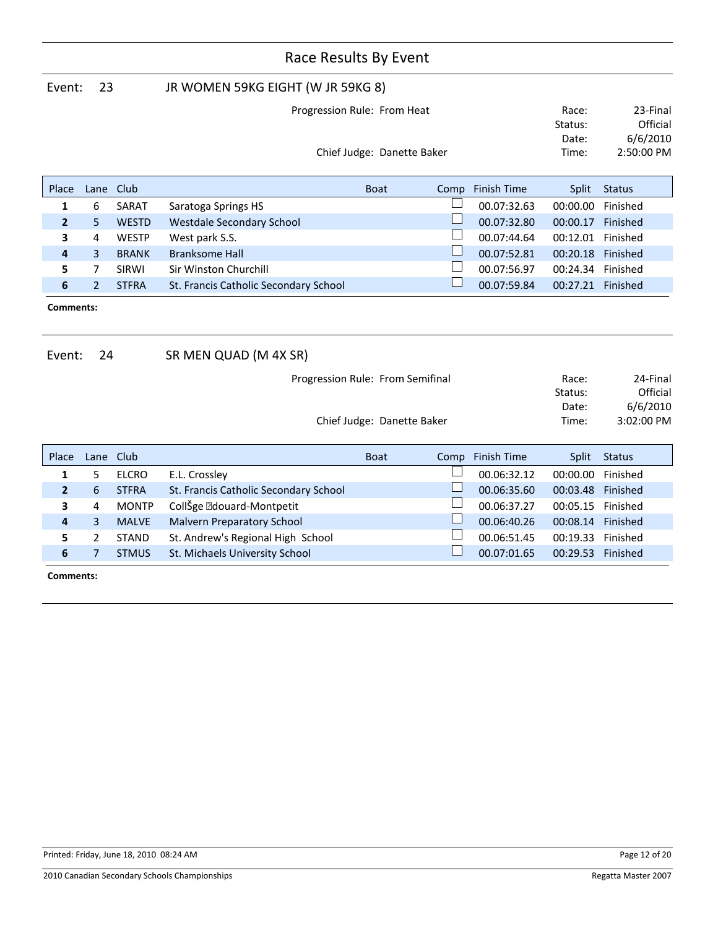|                     | Race Results By Event |              |                                       |                                                                |              |                    |                                    |                                                |
|---------------------|-----------------------|--------------|---------------------------------------|----------------------------------------------------------------|--------------|--------------------|------------------------------------|------------------------------------------------|
| Event:              | 23                    |              | JR WOMEN 59KG EIGHT (W JR 59KG 8)     |                                                                |              |                    |                                    |                                                |
|                     |                       |              |                                       | Progression Rule: From Heat                                    |              |                    | Race:                              | 23-Final                                       |
|                     |                       |              |                                       |                                                                |              |                    | Status:                            | Official                                       |
|                     |                       |              |                                       |                                                                |              |                    | Date:                              | 6/6/2010                                       |
|                     |                       |              |                                       | Chief Judge: Danette Baker                                     |              |                    | Time:                              | 2:50:00 PM                                     |
| Place               | Lane                  | Club         |                                       | <b>Boat</b>                                                    | Comp         | <b>Finish Time</b> | <b>Split</b>                       | <b>Status</b>                                  |
| 1                   | 6                     | SARAT        | Saratoga Springs HS                   |                                                                |              | 00.07:32.63        | 00:00.00                           | Finished                                       |
| $\overline{2}$      | 5                     | <b>WESTD</b> | <b>Westdale Secondary School</b>      |                                                                |              | 00.07:32.80        | 00:00.17                           | Finished                                       |
| 3                   | 4                     | <b>WESTP</b> | West park S.S.                        |                                                                | $\mathsf{L}$ | 00.07:44.64        | 00:12.01                           | Finished                                       |
| 4                   | 3                     | <b>BRANK</b> | <b>Branksome Hall</b>                 |                                                                | $\Box$       | 00.07:52.81        | 00:20.18                           | Finished                                       |
| 5                   | 7                     | SIRWI        | Sir Winston Churchill                 |                                                                |              | 00.07:56.97        | 00:24.34                           | Finished                                       |
| 6                   | $\overline{2}$        | <b>STFRA</b> | St. Francis Catholic Secondary School |                                                                |              | 00.07:59.84        | 00:27.21                           | Finished                                       |
| Comments:<br>Event: | 24                    |              | SR MEN QUAD (M 4X SR)                 |                                                                |              |                    |                                    |                                                |
|                     |                       |              |                                       | Progression Rule: From Semifinal<br>Chief Judge: Danette Baker |              |                    | Race:<br>Status:<br>Date:<br>Time: | 24-Final<br>Official<br>6/6/2010<br>3:02:00 PM |
| Place               | Lane                  | Club         |                                       | <b>Boat</b>                                                    | Comp         | <b>Finish Time</b> | Split                              | <b>Status</b>                                  |
| $\mathbf{1}$        | 5                     | <b>ELCRO</b> | E.L. Crossley                         |                                                                |              | 00.06:32.12        | 00:00.00                           | Finished                                       |
| $\overline{2}$      | 6                     | <b>STFRA</b> | St. Francis Catholic Secondary School |                                                                |              | 00.06:35.60        | 00:03.48                           | Finished                                       |
| 3                   | 4                     | <b>MONTP</b> | CollŠge • douard-Montpetit            |                                                                |              | 00.06:37.27        | 00:05.15                           | Finished                                       |
| 4                   | 3                     | <b>MALVE</b> | <b>Malvern Preparatory School</b>     |                                                                |              | 00.06:40.26        | 00:08.14                           | Finished                                       |
| 5                   | 2                     | <b>STAND</b> | St. Andrew's Regional High School     |                                                                |              | 00.06:51.45        | 00:19.33                           | Finished                                       |
| 6                   | $\overline{7}$        | <b>STMUS</b> | St. Michaels University School        |                                                                |              | 00.07:01.65        | 00:29.53                           | Finished                                       |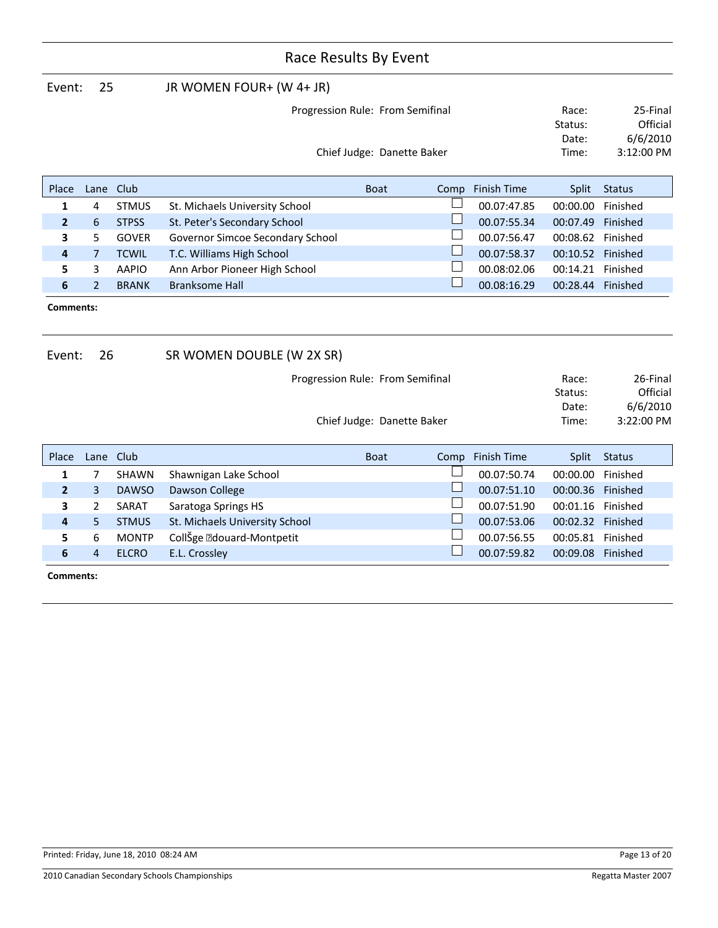| Event:       | 25             |              | JR WOMEN FOUR+ (W 4+ JR)                     |             |                            |                    |                   |                   |
|--------------|----------------|--------------|----------------------------------------------|-------------|----------------------------|--------------------|-------------------|-------------------|
|              |                |              | Progression Rule: From Semifinal             |             |                            |                    | Race:             | 25-Final          |
|              |                |              |                                              |             |                            |                    | Status:           | Official          |
|              |                |              |                                              |             |                            |                    | Date:             | 6/6/2010          |
|              |                |              |                                              |             | Chief Judge: Danette Baker |                    | Time:             | 3:12:00 PM        |
|              |                |              |                                              |             |                            |                    |                   |                   |
| Place        | Lane           | Club         |                                              | <b>Boat</b> | Comp                       | <b>Finish Time</b> | Split             | <b>Status</b>     |
| 1            | 4              | <b>STMUS</b> | St. Michaels University School               |             |                            | 00.07:47.85        | 00:00.00          | Finished          |
| $\mathbf{2}$ | 6              | <b>STPSS</b> | St. Peter's Secondary School                 |             |                            | 00.07:55.34        | 00:07.49          | Finished          |
| 3            | 5              | <b>GOVER</b> | Governor Simcoe Secondary School             |             |                            | 00.07:56.47        | 00:08.62 Finished |                   |
| 4            | $\overline{7}$ | <b>TCWIL</b> | T.C. Williams High School                    |             |                            | 00.07:58.37        | 00:10.52          | Finished          |
| 5            | 3              | <b>AAPIO</b> | 00.08:02.06<br>Ann Arbor Pioneer High School |             |                            |                    |                   | 00:14.21 Finished |
| 6            | $\overline{2}$ | <b>BRANK</b> | <b>Branksome Hall</b>                        |             |                            | 00.08:16.29        | 00:28.44 Finished |                   |
| Comments:    |                |              |                                              |             |                            |                    |                   |                   |
| Event:       | 26             |              | SR WOMEN DOUBLE (W 2X SR)                    |             |                            |                    |                   |                   |
|              |                |              | Progression Rule: From Semifinal             |             |                            |                    | Race:             | 26-Final          |
|              |                |              |                                              |             |                            |                    | Status:           | Official          |
|              |                |              |                                              |             |                            |                    | Date:             | 6/6/2010          |
|              |                |              |                                              |             | Chief Judge: Danette Baker |                    | Time:             | 3:22:00 PM        |
| Place        | Lane Club      |              |                                              | <b>Boat</b> | Comp                       | <b>Finish Time</b> | Split             | <b>Status</b>     |
| 1            | 7              | <b>SHAWN</b> | Shawnigan Lake School                        |             |                            | 00.07:50.74        | 00:00.00          | Finished          |
| $\mathbf{2}$ | 3              | <b>DAWSO</b> | Dawson College                               |             |                            | 00.07:51.10        | 00:00.36          | Finished          |
| 3            | 2              | SARAT        | Saratoga Springs HS                          |             |                            | 00.07:51.90        | 00:01.16          | Finished          |
| 4            | 5              | <b>STMUS</b> | St. Michaels University School               |             |                            | 00.07:53.06        | 00:02.32 Finished |                   |

**5** 6 MONTP CollŠge • douard-Montpetit 1 00.07:56.55 00:05.81 Finished<br> **6** 4 ELCRO E.L. Crossley 1 00.07:59.82 00:09.08 Finished **6** 4 ELCRO E.L. Crossley **12 COLO 2008 Finished** 00.07:59.82 00:09.08 Finished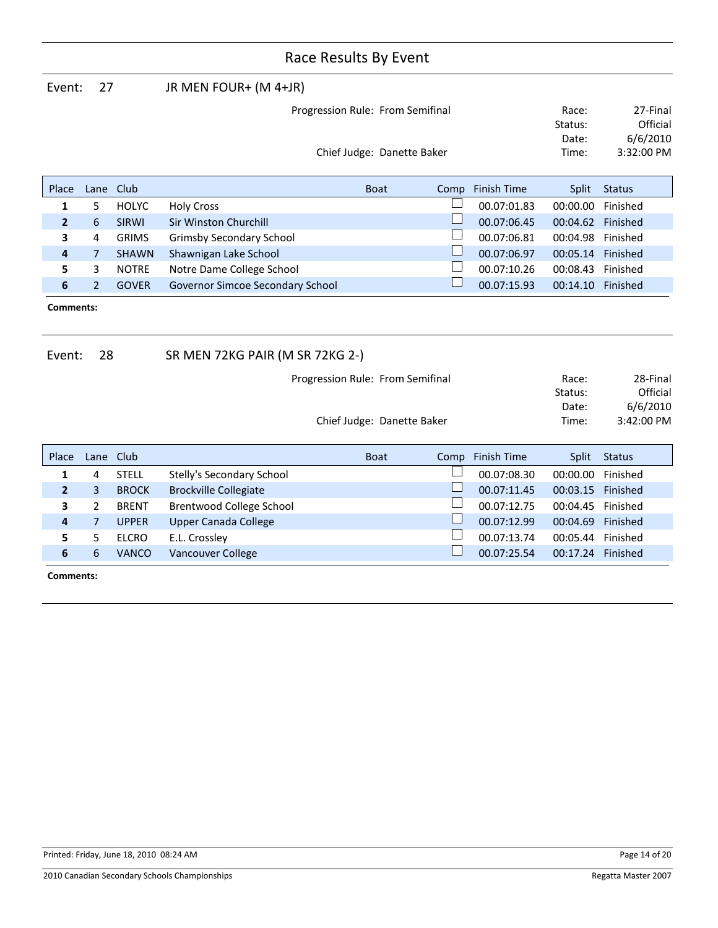| Event:         | 27             |              | JR MEN FOUR+ (M 4+JR)            |                            |                          |                    |                   |               |
|----------------|----------------|--------------|----------------------------------|----------------------------|--------------------------|--------------------|-------------------|---------------|
|                |                |              | Progression Rule: From Semifinal |                            |                          |                    | Race:             | 27-Final      |
|                |                |              |                                  |                            |                          |                    | Status:           | Official      |
|                |                |              |                                  |                            |                          |                    | Date:             | 6/6/2010      |
|                |                |              |                                  | Chief Judge: Danette Baker |                          |                    | Time:             | 3:32:00 PM    |
|                |                |              |                                  |                            |                          |                    |                   |               |
| Place          | Lane           | Club         |                                  | <b>Boat</b>                | Comp                     | <b>Finish Time</b> | <b>Split</b>      | <b>Status</b> |
| 1              | 5              | <b>HOLYC</b> | <b>Holy Cross</b>                |                            |                          | 00.07:01.83        | 00:00.00          | Finished      |
| $\overline{2}$ | 6              | <b>SIRWI</b> | <b>Sir Winston Churchill</b>     |                            |                          | 00.07:06.45        | 00:04.62 Finished |               |
| 3              | 4              | <b>GRIMS</b> | <b>Grimsby Secondary School</b>  |                            | $\Box$                   | 00.07:06.81        | 00:04.98          | Finished      |
| 4              | 7              | <b>SHAWN</b> | Shawnigan Lake School            |                            | $\Box$                   | 00.07:06.97        | 00:05.14 Finished |               |
| 5              | 3              | <b>NOTRE</b> | Notre Dame College School        |                            |                          | 00.07:10.26        | 00:08.43          | Finished      |
| 6              | $\overline{2}$ | <b>GOVER</b> | Governor Simcoe Secondary School |                            | $\overline{\phantom{a}}$ | 00.07:15.93        | 00:14.10 Finished |               |
| Comments:      |                |              |                                  |                            |                          |                    |                   |               |
| Event:         | 28             |              | SR MEN 72KG PAIR (M SR 72KG 2-)  |                            |                          |                    |                   |               |
|                |                |              | Progression Rule: From Semifinal |                            |                          |                    | Race:             | 28-Final      |
|                |                |              |                                  |                            |                          |                    | Status:           | Official      |
|                |                |              |                                  |                            |                          |                    | Date:             | 6/6/2010      |
|                |                |              |                                  | Chief Judge: Danette Baker |                          |                    | Time:             | 3:42:00 PM    |
| Place          | Lane           | Club         |                                  | <b>Boat</b>                | Comp                     | Finish Time        | <b>Split</b>      | <b>Status</b> |
| $\mathbf{1}$   | 4              | <b>STELL</b> | Stelly's Secondary School        |                            |                          | 00.07:08.30        | 00:00.00          | Finished      |
| $\mathbf{2}$   | 3              | <b>BROCK</b> | <b>Brockville Collegiate</b>     |                            | $\Box$                   | 00.07:11.45        | 00:03.15          | Finished      |
| 3              | 2              | <b>BRENT</b> | Brentwood College School         |                            | $\Box$                   | 00.07:12.75        | 00:04.45          | Finished      |
| 4              | $\overline{7}$ | <b>UPPER</b> | <b>Upper Canada College</b>      |                            | $\Box$                   | 00.07:12.99        | 00:04.69          | Finished      |
| 5              | 5              | <b>ELCRO</b> | E.L. Crossley                    |                            |                          | 00.07:13.74        | 00:05.44          | Finished      |
| 6              | 6              | <b>VANCO</b> | Vancouver College                |                            |                          | 00.07:25.54        | 00:17.24 Finished |               |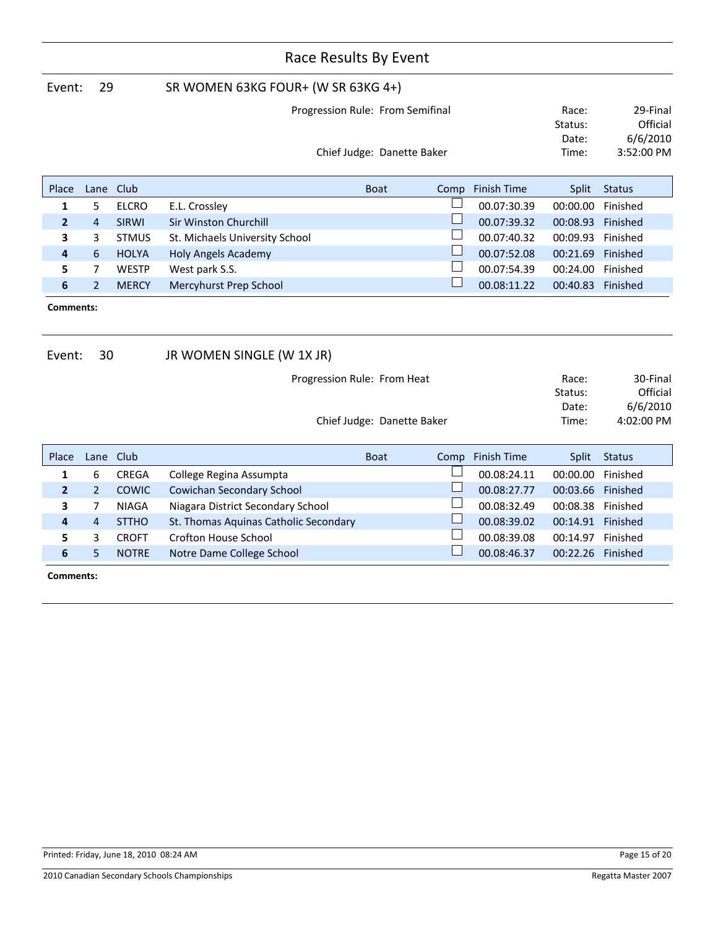|                            | Race Results By Event |              |                                       |             |                            |                    |                                    |                                  |  |
|----------------------------|-----------------------|--------------|---------------------------------------|-------------|----------------------------|--------------------|------------------------------------|----------------------------------|--|
| Event:                     | 29                    |              | SR WOMEN 63KG FOUR+ (W SR 63KG 4+)    |             |                            |                    |                                    |                                  |  |
|                            |                       |              | Progression Rule: From Semifinal      |             |                            |                    | Race:<br>Status:<br>Date:          | 29-Final<br>Official<br>6/6/2010 |  |
| Chief Judge: Danette Baker |                       |              |                                       |             |                            |                    |                                    | 3:52:00 PM                       |  |
| Place                      | Lane                  | Club         |                                       | <b>Boat</b> | Comp                       | <b>Finish Time</b> | <b>Split</b>                       | <b>Status</b>                    |  |
| 1                          | 5                     | <b>ELCRO</b> | E.L. Crossley                         |             |                            | 00.07:30.39        | 00:00.00                           | Finished                         |  |
| $\overline{2}$             | $\overline{4}$        | <b>SIRWI</b> | Sir Winston Churchill                 |             |                            | 00.07:39.32        | 00:08.93                           | Finished                         |  |
| 3                          | 3                     | <b>STMUS</b> | St. Michaels University School        |             |                            | 00.07:40.32        | 00:09.93                           | Finished                         |  |
| 4                          | 6                     | <b>HOLYA</b> | <b>Holy Angels Academy</b>            |             |                            | 00.07:52.08        | 00:21.69                           | Finished                         |  |
| 5                          | 7                     | <b>WESTP</b> | West park S.S.                        |             |                            | 00.07:54.39        | 00:24.00                           | Finished                         |  |
| 6                          | $\overline{2}$        | <b>MERCY</b> | Mercyhurst Prep School                |             |                            | 00.08:11.22        | 00:40.83                           | Finished                         |  |
| Comments:                  |                       |              |                                       |             |                            |                    |                                    |                                  |  |
| Event:                     | 30                    |              | JR WOMEN SINGLE (W 1X JR)             |             |                            |                    |                                    |                                  |  |
|                            |                       |              | Progression Rule: From Heat           |             |                            |                    | Race:<br>Status:<br>Date:<br>Time: | 30-Final<br>Official<br>6/6/2010 |  |
|                            |                       |              |                                       |             | Chief Judge: Danette Baker |                    |                                    | 4:02:00 PM                       |  |
| Place                      | Lane                  | Club         |                                       | <b>Boat</b> | Comp                       | <b>Finish Time</b> | <b>Split</b>                       | <b>Status</b>                    |  |
| 1                          | 6                     | <b>CREGA</b> | College Regina Assumpta               |             |                            | 00.08:24.11        | 00:00.00                           | Finished                         |  |
| $\mathbf{2}$               | $\overline{2}$        | <b>COWIC</b> | Cowichan Secondary School             |             |                            | 00.08:27.77        | 00:03.66                           | Finished                         |  |
| 3                          | 7                     | <b>NIAGA</b> | Niagara District Secondary School     |             |                            | 00.08:32.49        | 00:08.38                           | Finished                         |  |
| 4                          | 4                     | <b>STTHO</b> | St. Thomas Aquinas Catholic Secondary |             |                            | 00.08:39.02        | 00:14.91 Finished                  |                                  |  |
| 5                          | 3                     | <b>CROFT</b> | <b>Crofton House School</b>           |             |                            | 00.08:39.08        | 00:14.97                           | Finished                         |  |
| 6                          | 5                     | <b>NOTRE</b> | Notre Dame College School             |             |                            | 00.08:46.37        | 00:22.26 Finished                  |                                  |  |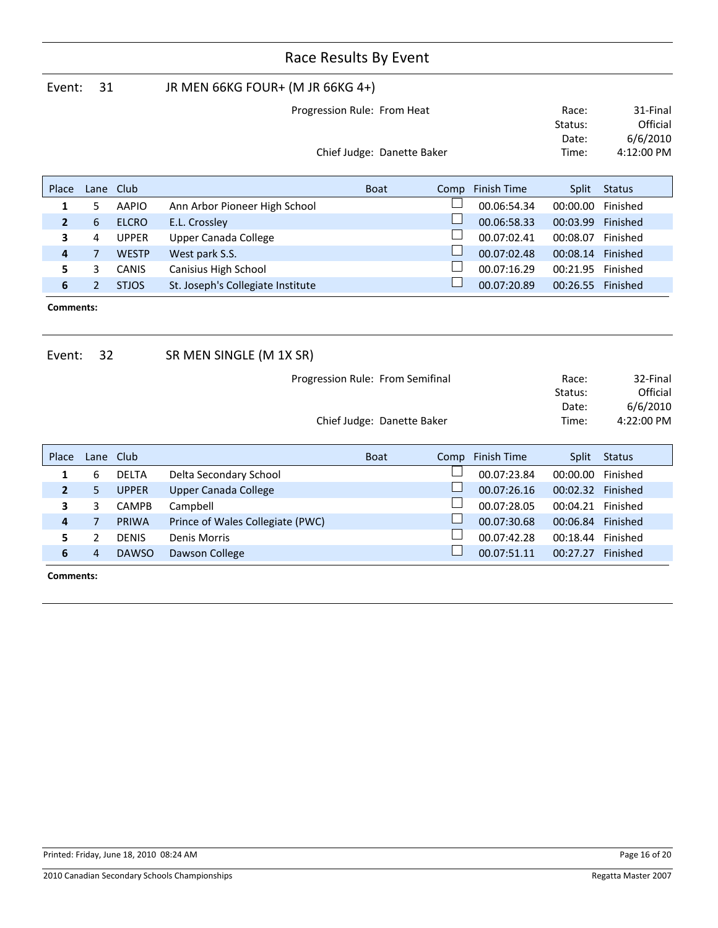| Race Results By Event |                |              |                                   |             |                                  |                          |                    |                   |               |
|-----------------------|----------------|--------------|-----------------------------------|-------------|----------------------------------|--------------------------|--------------------|-------------------|---------------|
| Event:                | 31             |              | JR MEN 66KG FOUR+ (M JR 66KG 4+)  |             |                                  |                          |                    |                   |               |
|                       |                |              |                                   |             | Progression Rule: From Heat      |                          |                    | Race:             | 31-Final      |
|                       |                |              |                                   |             |                                  |                          |                    | Status:           | Official      |
|                       |                |              |                                   |             |                                  |                          |                    | Date:             | 6/6/2010      |
|                       |                |              |                                   |             | Chief Judge: Danette Baker       |                          |                    | Time:             | 4:12:00 PM    |
| Place                 | Lane           | Club         |                                   | <b>Boat</b> |                                  | Comp                     | <b>Finish Time</b> | Split             | <b>Status</b> |
| 1                     | 5              | <b>AAPIO</b> | Ann Arbor Pioneer High School     |             |                                  | $\mathbb{R}^n$           | 00.06:54.34        | 00:00.00          | Finished      |
| $\mathbf{2}$          | 6              | <b>ELCRO</b> | E.L. Crossley                     |             |                                  | $\mathbb{R}^n$           | 00.06:58.33        | 00:03.99          | Finished      |
| 3                     | 4              | <b>UPPER</b> | <b>Upper Canada College</b>       |             |                                  | $\Box$                   | 00.07:02.41        | 00:08.07 Finished |               |
| 4                     | $\overline{7}$ | <b>WESTP</b> | West park S.S.                    |             |                                  | $\Box$                   | 00.07:02.48        | 00:08.14          | Finished      |
| 5                     | 3              | CANIS        | Canisius High School              |             |                                  | $\Box$                   | 00.07:16.29        | 00:21.95          | Finished      |
| 6                     | $\overline{2}$ | <b>STJOS</b> | St. Joseph's Collegiate Institute |             |                                  | $\Box$                   | 00.07:20.89        | 00:26.55 Finished |               |
| Comments:<br>Event:   | 32             |              | SR MEN SINGLE (M 1X SR)           |             |                                  |                          |                    |                   |               |
|                       |                |              |                                   |             | Progression Rule: From Semifinal |                          |                    | Race:             | 32-Final      |
|                       |                |              |                                   |             |                                  |                          |                    | Status:           | Official      |
|                       |                |              |                                   |             |                                  |                          |                    | Date:             | 6/6/2010      |
|                       |                |              |                                   |             | Chief Judge: Danette Baker       |                          |                    | Time:             | 4:22:00 PM    |
| Place                 | Lane           | Club         |                                   | <b>Boat</b> |                                  | Comp                     | <b>Finish Time</b> | Split             | <b>Status</b> |
| 1                     | 6              | <b>DELTA</b> | Delta Secondary School            |             |                                  |                          | 00.07:23.84        | 00:00.00          | Finished      |
| $\overline{2}$        | 5              | <b>UPPER</b> | <b>Upper Canada College</b>       |             |                                  |                          | 00.07:26.16        | 00:02.32 Finished |               |
| 3                     | 3              | <b>CAMPB</b> | Campbell                          |             |                                  | $\Box$                   | 00.07:28.05        | 00:04.21 Finished |               |
| 4                     | $\overline{7}$ | <b>PRIWA</b> | Prince of Wales Collegiate (PWC)  |             |                                  | $\Box$                   | 00.07:30.68        | 00:06.84          | Finished      |
| 5                     | $\overline{2}$ | <b>DENIS</b> | <b>Denis Morris</b>               |             |                                  | $\overline{\phantom{a}}$ | 00.07:42.28        | 00:18.44 Finished |               |
| 6                     | 4              | <b>DAWSO</b> | Dawson College                    |             |                                  | $\Box$                   | 00.07:51.11        | 00:27.27 Finished |               |
|                       | Comments:      |              |                                   |             |                                  |                          |                    |                   |               |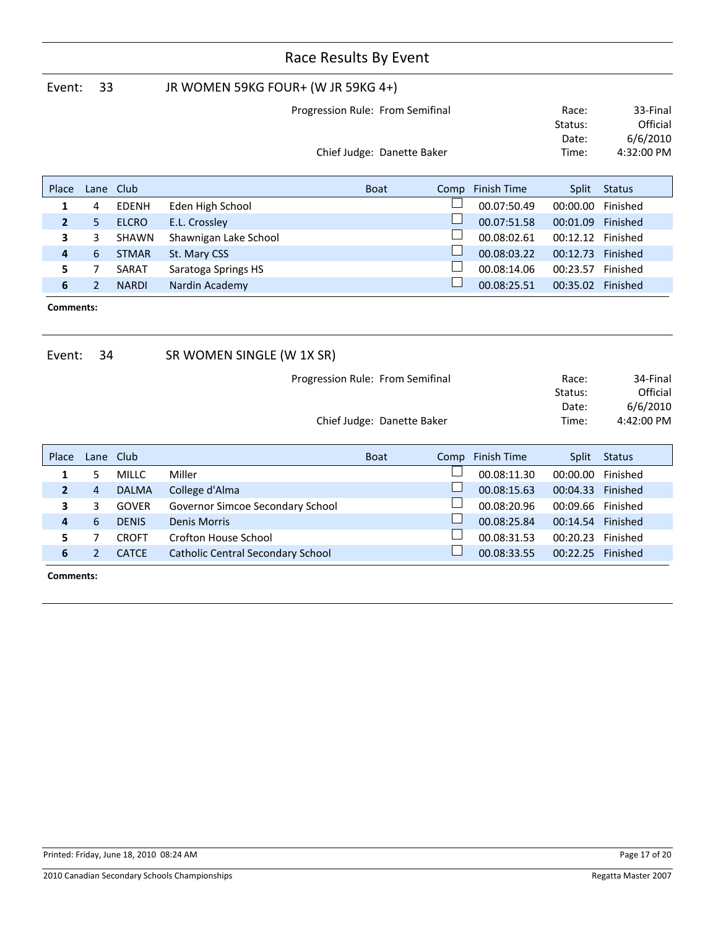|                     | Race Results By Event |              |                                          |                                                                |             |        |                    |                                    |                                                |
|---------------------|-----------------------|--------------|------------------------------------------|----------------------------------------------------------------|-------------|--------|--------------------|------------------------------------|------------------------------------------------|
| Event:              | 33                    |              | JR WOMEN 59KG FOUR+ (W JR 59KG 4+)       |                                                                |             |        |                    |                                    |                                                |
|                     |                       |              |                                          | Progression Rule: From Semifinal                               |             |        |                    | Race:                              | 33-Final                                       |
|                     |                       |              |                                          |                                                                |             |        |                    | Status:                            | Official                                       |
|                     |                       |              |                                          |                                                                |             |        |                    | Date:                              | 6/6/2010                                       |
|                     |                       |              |                                          | Chief Judge: Danette Baker                                     |             |        |                    | Time:                              | 4:32:00 PM                                     |
| Place               | Lane                  | Club         |                                          |                                                                | <b>Boat</b> | Comp   | Finish Time        | Split                              | <b>Status</b>                                  |
| 1                   | 4                     | <b>EDENH</b> | Eden High School                         |                                                                |             |        | 00.07:50.49        | 00:00.00                           | Finished                                       |
| $\overline{2}$      | 5                     | <b>ELCRO</b> | E.L. Crossley                            |                                                                |             |        | 00.07:51.58        | 00:01.09                           | Finished                                       |
| 3                   | 3                     | <b>SHAWN</b> | Shawnigan Lake School                    |                                                                |             |        | 00.08:02.61        | 00:12.12 Finished                  |                                                |
| 4                   | 6                     | <b>STMAR</b> | St. Mary CSS                             |                                                                |             | ⊔      | 00.08:03.22        | 00:12.73 Finished                  |                                                |
| 5                   | 7                     | SARAT        | Saratoga Springs HS                      |                                                                |             |        | 00.08:14.06        | 00:23.57 Finished                  |                                                |
| 6                   | $\overline{2}$        | <b>NARDI</b> | Nardin Academy                           |                                                                |             | $\Box$ | 00.08:25.51        | 00:35.02 Finished                  |                                                |
| Comments:<br>Event: | 34                    |              | SR WOMEN SINGLE (W 1X SR)                |                                                                |             |        |                    |                                    |                                                |
|                     |                       |              |                                          | Progression Rule: From Semifinal<br>Chief Judge: Danette Baker |             |        |                    | Race:<br>Status:<br>Date:<br>Time: | 34-Final<br>Official<br>6/6/2010<br>4:42:00 PM |
| Place               | Lane                  | Club         |                                          | <b>Boat</b>                                                    |             | Comp   | <b>Finish Time</b> | Split                              | <b>Status</b>                                  |
| 1                   | 5                     | <b>MILLC</b> | Miller                                   |                                                                |             |        | 00.08:11.30        | 00:00.00                           | Finished                                       |
| $\overline{2}$      | $\overline{4}$        | <b>DALMA</b> | College d'Alma                           |                                                                |             |        | 00.08:15.63        | 00:04.33                           | Finished                                       |
| 3                   | 3                     | <b>GOVER</b> | Governor Simcoe Secondary School         |                                                                |             |        | 00.08:20.96        | 00:09.66 Finished                  |                                                |
| 4                   | 6                     | <b>DENIS</b> | <b>Denis Morris</b>                      |                                                                |             |        | 00.08:25.84        | 00:14.54 Finished                  |                                                |
| 5                   | $\overline{7}$        | <b>CROFT</b> | Crofton House School                     |                                                                |             |        | 00.08:31.53        | 00:20.23 Finished                  |                                                |
| 6                   | $\overline{2}$        | <b>CATCE</b> | <b>Catholic Central Secondary School</b> |                                                                |             |        | 00.08:33.55        | 00:22.25 Finished                  |                                                |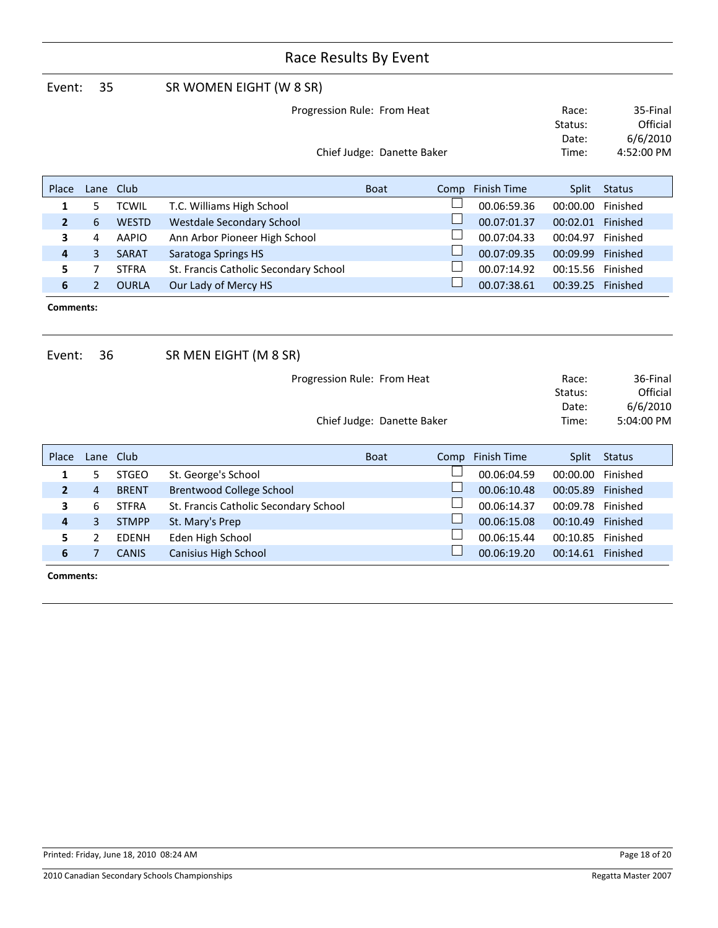| Event:                    | 35             |              | SR WOMEN EIGHT (W 8 SR)               |                            |      |                    |                                    |                                                |
|---------------------------|----------------|--------------|---------------------------------------|----------------------------|------|--------------------|------------------------------------|------------------------------------------------|
|                           |                |              | Progression Rule: From Heat           |                            |      |                    | Race:<br>Status:                   | 35-Final<br>Official                           |
|                           |                |              |                                       | Chief Judge: Danette Baker |      |                    | Date:<br>Time:                     | 6/6/2010<br>4:52:00 PM                         |
| Place                     |                | Lane Club    |                                       | <b>Boat</b>                | Comp | <b>Finish Time</b> | Split                              | <b>Status</b>                                  |
| 1                         | 5              | <b>TCWIL</b> | T.C. Williams High School             |                            |      | 00.06:59.36        | 00:00.00                           | Finished                                       |
| $\overline{2}$            | 6              | <b>WESTD</b> | <b>Westdale Secondary School</b>      |                            |      | 00.07:01.37        | 00:02.01 Finished                  |                                                |
| 3                         | 4              | <b>AAPIO</b> | Ann Arbor Pioneer High School         |                            |      | 00.07:04.33        | 00:04.97                           | Finished                                       |
| 4                         | 3              | <b>SARAT</b> | Saratoga Springs HS                   |                            |      | 00.07:09.35        | 00:09.99                           | Finished                                       |
| 5                         | 7              | <b>STFRA</b> | St. Francis Catholic Secondary School |                            |      | 00.07:14.92        | 00:15.56 Finished                  |                                                |
| 6                         | $\overline{2}$ | <b>OURLA</b> | Our Lady of Mercy HS                  |                            |      | 00.07:38.61        | 00:39.25 Finished                  |                                                |
| Comments:<br>36<br>Event: |                |              | SR MEN EIGHT (M 8 SR)                 |                            |      |                    |                                    |                                                |
|                           |                |              | Progression Rule: From Heat           | Chief Judge: Danette Baker |      |                    | Race:<br>Status:<br>Date:<br>Time: | 36-Final<br>Official<br>6/6/2010<br>5:04:00 PM |
|                           |                |              |                                       |                            |      |                    |                                    |                                                |
| Place                     |                | Lane Club    |                                       | <b>Boat</b>                | Comp | <b>Finish Time</b> | Split                              | <b>Status</b>                                  |
| 1                         | 5              | <b>STGEO</b> | St. George's School                   |                            |      | 00.06:04.59        | 00:00.00                           | Finished                                       |
| $\overline{2}$            | 4              | <b>BRENT</b> | <b>Brentwood College School</b>       |                            |      | 00.06:10.48        | 00:05.89                           | Finished                                       |
| 3                         | 6              | <b>STFRA</b> | St. Francis Catholic Secondary School |                            |      | 00.06:14.37        | 00:09.78                           | Finished                                       |
| 4                         | 3              | <b>STMPP</b> | St. Mary's Prep                       |                            |      | 00.06:15.08        | 00:10.49 Finished                  |                                                |
| 5                         | 2              | <b>EDENH</b> | Eden High School                      |                            |      | 00.06:15.44        | 00:10.85                           | Finished                                       |
| 6                         | $\overline{7}$ | <b>CANIS</b> | Canisius High School                  |                            |      | 00.06:19.20        | 00:14.61 Finished                  |                                                |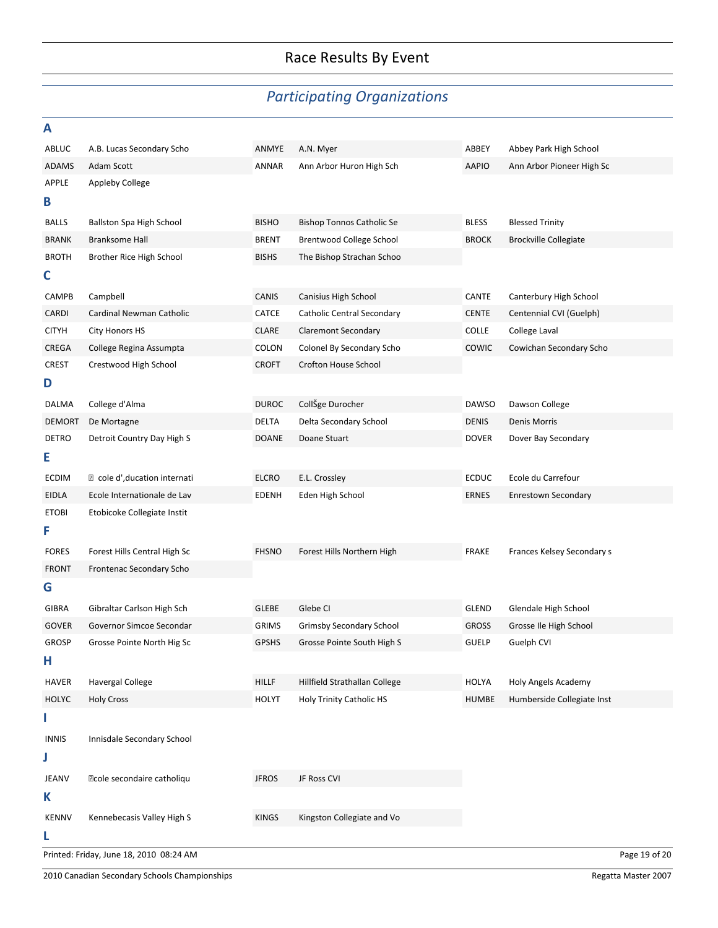# *Participating Organizations*

| Α             |                                         |              |                                   |              |                              |               |
|---------------|-----------------------------------------|--------------|-----------------------------------|--------------|------------------------------|---------------|
| ABLUC         | A.B. Lucas Secondary Scho               | ANMYE        | A.N. Myer                         | ABBEY        | Abbey Park High School       |               |
| ADAMS         | Adam Scott                              | ANNAR        | Ann Arbor Huron High Sch          | <b>AAPIO</b> | Ann Arbor Pioneer High Sc    |               |
| APPLE         | Appleby College                         |              |                                   |              |                              |               |
| B             |                                         |              |                                   |              |                              |               |
| BALLS         | Ballston Spa High School                | <b>BISHO</b> | <b>Bishop Tonnos Catholic Se</b>  | <b>BLESS</b> | <b>Blessed Trinity</b>       |               |
| <b>BRANK</b>  | <b>Branksome Hall</b>                   | <b>BRENT</b> | Brentwood College School          | <b>BROCK</b> | <b>Brockville Collegiate</b> |               |
| <b>BROTH</b>  | Brother Rice High School                | <b>BISHS</b> | The Bishop Strachan Schoo         |              |                              |               |
| C             |                                         |              |                                   |              |                              |               |
| CAMPB         | Campbell                                | <b>CANIS</b> | Canisius High School              | CANTE        | Canterbury High School       |               |
| CARDI         | Cardinal Newman Catholic                | <b>CATCE</b> | <b>Catholic Central Secondary</b> | <b>CENTE</b> | Centennial CVI (Guelph)      |               |
| <b>CITYH</b>  | City Honors HS                          | <b>CLARE</b> | <b>Claremont Secondary</b>        | <b>COLLE</b> | College Laval                |               |
| CREGA         | College Regina Assumpta                 | COLON        | Colonel By Secondary Scho         | <b>COWIC</b> | Cowichan Secondary Scho      |               |
| CREST         | Crestwood High School                   | <b>CROFT</b> | Crofton House School              |              |                              |               |
| D             |                                         |              |                                   |              |                              |               |
| DALMA         | College d'Alma                          | <b>DUROC</b> | CollŠge Durocher                  | <b>DAWSO</b> | Dawson College               |               |
| <b>DEMORT</b> | De Mortagne                             | <b>DELTA</b> | Delta Secondary School            | <b>DENIS</b> | Denis Morris                 |               |
| <b>DETRO</b>  | Detroit Country Day High S              | <b>DOANE</b> | Doane Stuart                      | <b>DOVER</b> | Dover Bay Secondary          |               |
| Ε             |                                         |              |                                   |              |                              |               |
| ECDIM         | ■ cole d', ducation internati           | <b>ELCRO</b> | E.L. Crossley                     | <b>ECDUC</b> | Ecole du Carrefour           |               |
| EIDLA         | Ecole Internationale de Lav             | <b>EDENH</b> | Eden High School                  | <b>ERNES</b> | <b>Enrestown Secondary</b>   |               |
| <b>ETOBI</b>  | Etobicoke Collegiate Instit             |              |                                   |              |                              |               |
| F             |                                         |              |                                   |              |                              |               |
| <b>FORES</b>  | Forest Hills Central High Sc            | <b>FHSNO</b> | Forest Hills Northern High        | <b>FRAKE</b> | Frances Kelsey Secondary s   |               |
| <b>FRONT</b>  | Frontenac Secondary Scho                |              |                                   |              |                              |               |
| G             |                                         |              |                                   |              |                              |               |
| GIBRA         | Gibraltar Carlson High Sch              | <b>GLEBE</b> | Glebe CI                          | <b>GLEND</b> | Glendale High School         |               |
| <b>GOVER</b>  | Governor Simcoe Secondar                | <b>GRIMS</b> | <b>Grimsby Secondary School</b>   | <b>GROSS</b> | Grosse Ile High School       |               |
| <b>GROSP</b>  | Grosse Pointe North Hig Sc              | <b>GPSHS</b> | Grosse Pointe South High S        | <b>GUELP</b> | Guelph CVI                   |               |
| Н             |                                         |              |                                   |              |                              |               |
| <b>HAVER</b>  | <b>Havergal College</b>                 | <b>HILLF</b> | Hillfield Strathallan College     | <b>HOLYA</b> | Holy Angels Academy          |               |
| <b>HOLYC</b>  | <b>Holy Cross</b>                       | <b>HOLYT</b> | Holy Trinity Catholic HS          | <b>HUMBE</b> | Humberside Collegiate Inst   |               |
| ı             |                                         |              |                                   |              |                              |               |
| <b>INNIS</b>  | Innisdale Secondary School              |              |                                   |              |                              |               |
| J             |                                         |              |                                   |              |                              |               |
|               |                                         |              |                                   |              |                              |               |
| JEANV         | • cole secondaire catholiqu             | <b>JFROS</b> | JF Ross CVI                       |              |                              |               |
| Κ             |                                         |              |                                   |              |                              |               |
| <b>KENNV</b>  | Kennebecasis Valley High S              | <b>KINGS</b> | Kingston Collegiate and Vo        |              |                              |               |
| L             |                                         |              |                                   |              |                              |               |
|               | Printed: Friday, June 18, 2010 08:24 AM |              |                                   |              |                              | Page 19 of 20 |